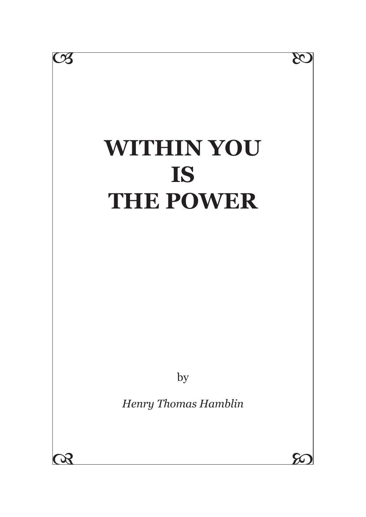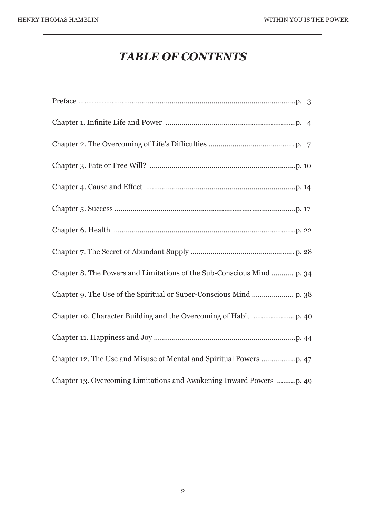# *TABLE OF CONTENTS*

| Chapter 8. The Powers and Limitations of the Sub-Conscious Mind  p. 34 |
|------------------------------------------------------------------------|
|                                                                        |
|                                                                        |
|                                                                        |
|                                                                        |
| Chapter 13. Overcoming Limitations and Awakening Inward Powers p. 49   |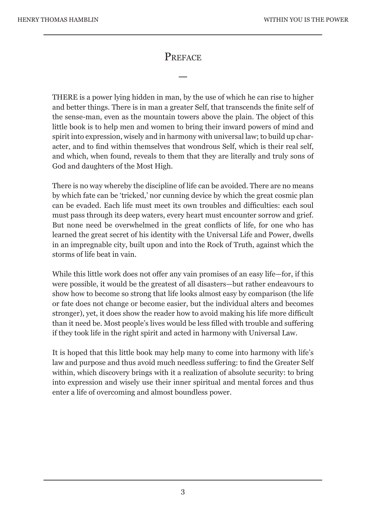#### **PREFACE**

—

THERE is a power lying hidden in man, by the use of which he can rise to higher and better things. There is in man a greater Self, that transcends the finite self of the sense-man, even as the mountain towers above the plain. The object of this little book is to help men and women to bring their inward powers of mind and spirit into expression, wisely and in harmony with universal law; to build up character, and to find within themselves that wondrous Self, which is their real self, and which, when found, reveals to them that they are literally and truly sons of God and daughters of the Most High.

There is no way whereby the discipline of life can be avoided. There are no means by which fate can be 'tricked,' nor cunning device by which the great cosmic plan can be evaded. Each life must meet its own troubles and difficulties: each soul must pass through its deep waters, every heart must encounter sorrow and grief. But none need be overwhelmed in the great conflicts of life, for one who has learned the great secret of his identity with the Universal Life and Power, dwells in an impregnable city, built upon and into the Rock of Truth, against which the storms of life beat in vain.

While this little work does not offer any vain promises of an easy life—for, if this were possible, it would be the greatest of all disasters—but rather endeavours to show how to become so strong that life looks almost easy by comparison (the life or fate does not change or become easier, but the individual alters and becomes stronger), yet, it does show the reader how to avoid making his life more difficult than it need be. Most people's lives would be less filled with trouble and suffering if they took life in the right spirit and acted in harmony with Universal Law.

It is hoped that this little book may help many to come into harmony with life's law and purpose and thus avoid much needless suffering: to find the Greater Self within, which discovery brings with it a realization of absolute security: to bring into expression and wisely use their inner spiritual and mental forces and thus enter a life of overcoming and almost boundless power.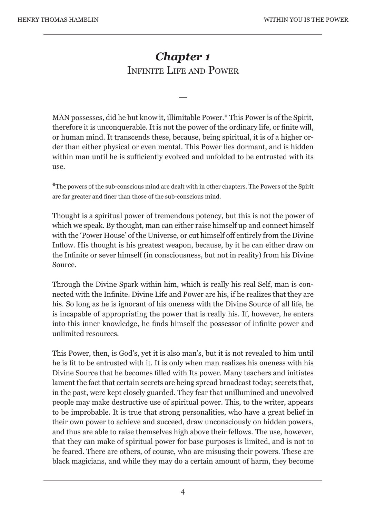# *Chapter 1* INFINITE LIFE AND POWER

—

MAN possesses, did he but know it, illimitable Power.\* This Power is of the Spirit, therefore it is unconquerable. It is not the power of the ordinary life, or finite will, or human mind. It transcends these, because, being spiritual, it is of a higher order than either physical or even mental. This Power lies dormant, and is hidden within man until he is sufficiently evolved and unfolded to be entrusted with its use.

\*The powers of the sub-conscious mind are dealt with in other chapters. The Powers of the Spirit are far greater and finer than those of the sub-conscious mind.

Thought is a spiritual power of tremendous potency, but this is not the power of which we speak. By thought, man can either raise himself up and connect himself with the 'Power House' of the Universe, or cut himself off entirely from the Divine Inflow. His thought is his greatest weapon, because, by it he can either draw on the Infinite or sever himself (in consciousness, but not in reality) from his Divine Source.

Through the Divine Spark within him, which is really his real Self, man is connected with the Infinite. Divine Life and Power are his, if he realizes that they are his. So long as he is ignorant of his oneness with the Divine Source of all life, he is incapable of appropriating the power that is really his. If, however, he enters into this inner knowledge, he finds himself the possessor of infinite power and unlimited resources.

This Power, then, is God's, yet it is also man's, but it is not revealed to him until he is fit to be entrusted with it. It is only when man realizes his oneness with his Divine Source that he becomes filled with Its power. Many teachers and initiates lament the fact that certain secrets are being spread broadcast today; secrets that, in the past, were kept closely guarded. They fear that unillumined and unevolved people may make destructive use of spiritual power. This, to the writer, appears to be improbable. It is true that strong personalities, who have a great belief in their own power to achieve and succeed, draw unconsciously on hidden powers, and thus are able to raise themselves high above their fellows. The use, however, that they can make of spiritual power for base purposes is limited, and is not to be feared. There are others, of course, who are misusing their powers. These are black magicians, and while they may do a certain amount of harm, they become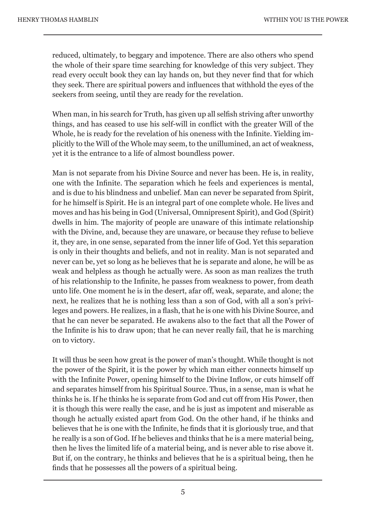reduced, ultimately, to beggary and impotence. There are also others who spend the whole of their spare time searching for knowledge of this very subject. They read every occult book they can lay hands on, but they never find that for which they seek. There are spiritual powers and influences that withhold the eyes of the seekers from seeing, until they are ready for the revelation.

When man, in his search for Truth, has given up all selfish striving after unworthy things, and has ceased to use his self-will in conflict with the greater Will of the Whole, he is ready for the revelation of his oneness with the Infinite. Yielding implicitly to the Will of the Whole may seem, to the unillumined, an act of weakness, yet it is the entrance to a life of almost boundless power.

Man is not separate from his Divine Source and never has been. He is, in reality, one with the Infinite. The separation which he feels and experiences is mental, and is due to his blindness and unbelief. Man can never be separated from Spirit, for he himself is Spirit. He is an integral part of one complete whole. He lives and moves and has his being in God (Universal, Omnipresent Spirit), and God (Spirit) dwells in him. The majority of people are unaware of this intimate relationship with the Divine, and, because they are unaware, or because they refuse to believe it, they are, in one sense, separated from the inner life of God. Yet this separation is only in their thoughts and beliefs, and not in reality. Man is not separated and never can be, yet so long as he believes that he is separate and alone, he will be as weak and helpless as though he actually were. As soon as man realizes the truth of his relationship to the Infinite, he passes from weakness to power, from death unto life. One moment he is in the desert, afar off, weak, separate, and alone; the next, he realizes that he is nothing less than a son of God, with all a son's privileges and powers. He realizes, in a flash, that he is one with his Divine Source, and that he can never be separated. He awakens also to the fact that all the Power of the Infinite is his to draw upon; that he can never really fail, that he is marching on to victory.

It will thus be seen how great is the power of man's thought. While thought is not the power of the Spirit, it is the power by which man either connects himself up with the Infinite Power, opening himself to the Divine Inflow, or cuts himself off and separates himself from his Spiritual Source. Thus, in a sense, man is what he thinks he is. If he thinks he is separate from God and cut off from His Power, then it is though this were really the case, and he is just as impotent and miserable as though he actually existed apart from God. On the other hand, if he thinks and believes that he is one with the Infinite, he finds that it is gloriously true, and that he really is a son of God. If he believes and thinks that he is a mere material being, then he lives the limited life of a material being, and is never able to rise above it. But if, on the contrary, he thinks and believes that he is a spiritual being, then he finds that he possesses all the powers of a spiritual being.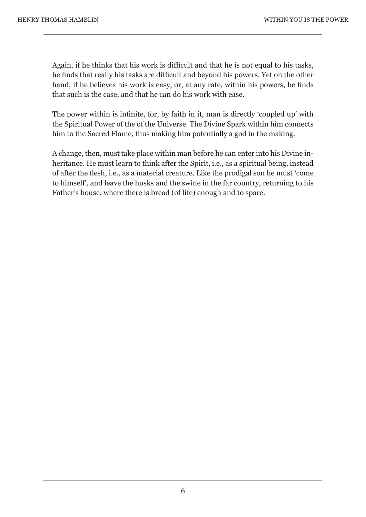Again, if he thinks that his work is difficult and that he is not equal to his tasks, he finds that really his tasks are difficult and beyond his powers. Yet on the other hand, if he believes his work is easy, or, at any rate, within his powers, he finds that such is the case, and that he can do his work with ease.

The power within is infinite, for, by faith in it, man is directly 'coupled up' with the Spiritual Power of the of the Universe. The Divine Spark within him connects him to the Sacred Flame, thus making him potentially a god in the making.

A change, then, must take place within man before he can enter into his Divine inheritance. He must learn to think after the Spirit, i.e., as a spiritual being, instead of after the flesh, i.e., as a material creature. Like the prodigal son he must 'come to himself', and leave the husks and the swine in the far country, returning to his Father's house, where there is bread (of life) enough and to spare.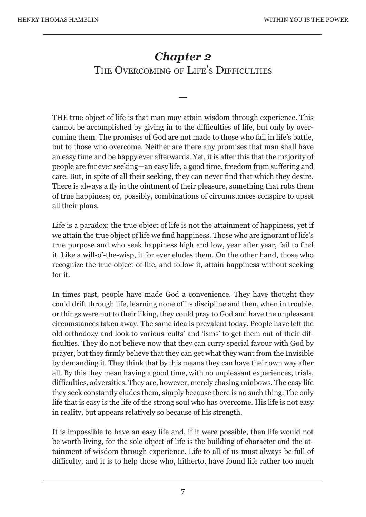# *Chapter 2* THE OVERCOMING OF LIFE'S DIFFICULTIES

—

THE true object of life is that man may attain wisdom through experience. This cannot be accomplished by giving in to the difficulties of life, but only by overcoming them. The promises of God are not made to those who fail in life's battle, but to those who overcome. Neither are there any promises that man shall have an easy time and be happy ever afterwards. Yet, it is after this that the majority of people are for ever seeking—an easy life, a good time, freedom from suffering and care. But, in spite of all their seeking, they can never find that which they desire. There is always a fly in the ointment of their pleasure, something that robs them of true happiness; or, possibly, combinations of circumstances conspire to upset all their plans.

Life is a paradox; the true object of life is not the attainment of happiness, yet if we attain the true object of life we find happiness. Those who are ignorant of life's true purpose and who seek happiness high and low, year after year, fail to find it. Like a will-o'-the-wisp, it for ever eludes them. On the other hand, those who recognize the true object of life, and follow it, attain happiness without seeking for it.

In times past, people have made God a convenience. They have thought they could drift through life, learning none of its discipline and then, when in trouble, or things were not to their liking, they could pray to God and have the unpleasant circumstances taken away. The same idea is prevalent today. People have left the old orthodoxy and look to various 'cults' and 'isms' to get them out of their difficulties. They do not believe now that they can curry special favour with God by prayer, but they firmly believe that they can get what they want from the Invisible by demanding it. They think that by this means they can have their own way after all. By this they mean having a good time, with no unpleasant experiences, trials, difficulties, adversities. They are, however, merely chasing rainbows. The easy life they seek constantly eludes them, simply because there is no such thing. The only life that is easy is the life of the strong soul who has overcome. His life is not easy in reality, but appears relatively so because of his strength.

It is impossible to have an easy life and, if it were possible, then life would not be worth living, for the sole object of life is the building of character and the attainment of wisdom through experience. Life to all of us must always be full of difficulty, and it is to help those who, hitherto, have found life rather too much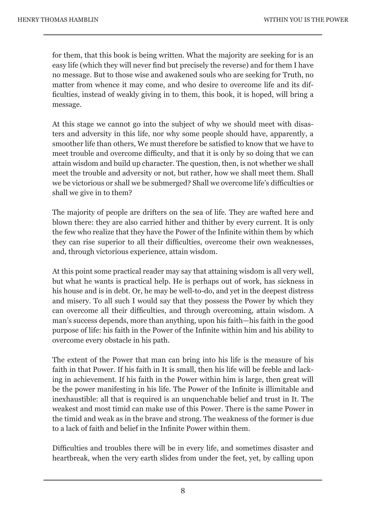for them, that this book is being written. What the majority are seeking for is an easy life (which they will never find but precisely the reverse) and for them I have no message. But to those wise and awakened souls who are seeking for Truth, no matter from whence it may come, and who desire to overcome life and its difficulties, instead of weakly giving in to them, this book, it is hoped, will bring a message.

At this stage we cannot go into the subject of why we should meet with disasters and adversity in this life, nor why some people should have, apparently, a smoother life than others, We must therefore be satisfied to know that we have to meet trouble and overcome difficulty, and that it is only by so doing that we can attain wisdom and build up character. The question, then, is not whether we shall meet the trouble and adversity or not, but rather, how we shall meet them. Shall we be victorious or shall we be submerged? Shall we overcome life's difficulties or shall we give in to them?

The majority of people are drifters on the sea of life. They are wafted here and blown there: they are also carried hither and thither by every current. It is only the few who realize that they have the Power of the Infinite within them by which they can rise superior to all their difficulties, overcome their own weaknesses, and, through victorious experience, attain wisdom.

At this point some practical reader may say that attaining wisdom is all very well, but what he wants is practical help. He is perhaps out of work, has sickness in his house and is in debt. Or, he may be well-to-do, and yet in the deepest distress and misery. To all such I would say that they possess the Power by which they can overcome all their difficulties, and through overcoming, attain wisdom. A man's success depends, more than anything, upon his faith—his faith in the good purpose of life: his faith in the Power of the Infinite within him and his ability to overcome every obstacle in his path.

The extent of the Power that man can bring into his life is the measure of his faith in that Power. If his faith in It is small, then his life will be feeble and lacking in achievement. If his faith in the Power within him is large, then great will be the power manifesting in his life. The Power of the Infinite is illimitable and inexhaustible: all that is required is an unquenchable belief and trust in It. The weakest and most timid can make use of this Power. There is the same Power in the timid and weak as in the brave and strong. The weakness of the former is due to a lack of faith and belief in the Infinite Power within them.

Difficulties and troubles there will be in every life, and sometimes disaster and heartbreak, when the very earth slides from under the feet, yet, by calling upon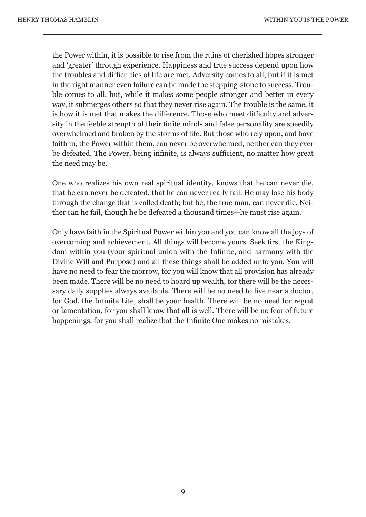the Power within, it is possible to rise from the ruins of cherished hopes stronger and 'greater' through experience. Happiness and true success depend upon how the troubles and difficulties of life are met. Adversity comes to all, but if it is met in the right manner even failure can be made the stepping-stone to success. Trouble comes to all, but, while it makes some people stronger and better in every way, it submerges others so that they never rise again. The trouble is the same, it is how it is met that makes the difference. Those who meet difficulty and adversity in the feeble strength of their finite minds and false personality are speedily overwhelmed and broken by the storms of life. But those who rely upon, and have faith in, the Power within them, can never be overwhelmed, neither can they ever be defeated. The Power, being infinite, is always sufficient, no matter how great the need may be.

One who realizes his own real spiritual identity, knows that he can never die, that he can never be defeated, that he can never really fail. He may lose his body through the change that is called death; but he, the true man, can never die. Neither can he fail, though he be defeated a thousand times—he must rise again.

Only have faith in the Spiritual Power within you and you can know all the joys of overcoming and achievement. All things will become yours. Seek first the Kingdom within you (your spiritual union with the Infinite, and harmony with the Divine Will and Purpose) and all these things shall be added unto you. You will have no need to fear the morrow, for you will know that all provision has already been made. There will be no need to hoard up wealth, for there will be the necessary daily supplies always available. There will be no need to live near a doctor, for God, the Infinite Life, shall be your health. There will be no need for regret or lamentation, for you shall know that all is well. There will be no fear of future happenings, for you shall realize that the Infinite One makes no mistakes.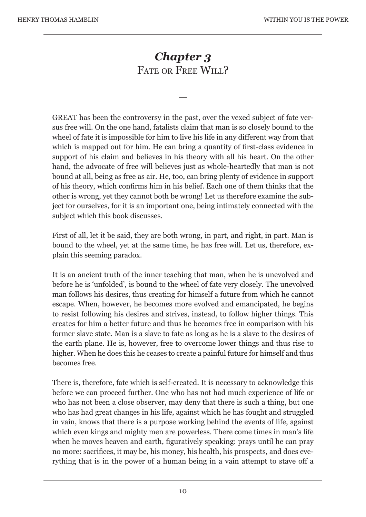# *Chapter 3* FATE OR FREE WILL?

—

GREAT has been the controversy in the past, over the vexed subject of fate versus free will. On the one hand, fatalists claim that man is so closely bound to the wheel of fate it is impossible for him to live his life in any different way from that which is mapped out for him. He can bring a quantity of first-class evidence in support of his claim and believes in his theory with all his heart. On the other hand, the advocate of free will believes just as whole-heartedly that man is not bound at all, being as free as air. He, too, can bring plenty of evidence in support of his theory, which confirms him in his belief. Each one of them thinks that the other is wrong, yet they cannot both be wrong! Let us therefore examine the subject for ourselves, for it is an important one, being intimately connected with the subject which this book discusses.

First of all, let it be said, they are both wrong, in part, and right, in part. Man is bound to the wheel, yet at the same time, he has free will. Let us, therefore, explain this seeming paradox.

It is an ancient truth of the inner teaching that man, when he is unevolved and before he is 'unfolded', is bound to the wheel of fate very closely. The unevolved man follows his desires, thus creating for himself a future from which he cannot escape. When, however, he becomes more evolved and emancipated, he begins to resist following his desires and strives, instead, to follow higher things. This creates for him a better future and thus he becomes free in comparison with his former slave state. Man is a slave to fate as long as he is a slave to the desires of the earth plane. He is, however, free to overcome lower things and thus rise to higher. When he does this he ceases to create a painful future for himself and thus becomes free.

There is, therefore, fate which is self-created. It is necessary to acknowledge this before we can proceed further. One who has not had much experience of life or who has not been a close observer, may deny that there is such a thing, but one who has had great changes in his life, against which he has fought and struggled in vain, knows that there is a purpose working behind the events of life, against which even kings and mighty men are powerless. There come times in man's life when he moves heaven and earth, figuratively speaking: prays until he can pray no more: sacrifices, it may be, his money, his health, his prospects, and does everything that is in the power of a human being in a vain attempt to stave off a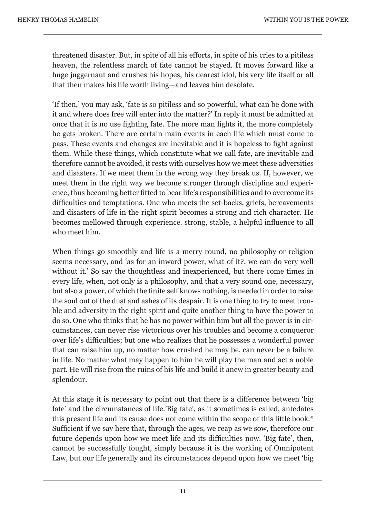threatened disaster. But, in spite of all his efforts, in spite of his cries to a pitiless heaven, the relentless march of fate cannot be stayed. It moves forward like a huge juggernaut and crushes his hopes, his dearest idol, his very life itself or all that then makes his life worth living—and leaves him desolate.

'If then,' you may ask, 'fate is so pitiless and so powerful, what can be done with it and where does free will enter into the matter?' In reply it must be admitted at once that it is no use fighting fate. The more man fights it, the more completely he gets broken. There are certain main events in each life which must come to pass. These events and changes are inevitable and it is hopeless to fight against them. While these things, which constitute what we call fate, are inevitable and therefore cannot be avoided, it rests with ourselves how we meet these adversities and disasters. If we meet them in the wrong way they break us. If, however, we meet them in the right way we become stronger through discipline and experience, thus becoming better fitted to bear life's responsibilities and to overcome its difficulties and temptations. One who meets the set-backs, griefs, bereavements and disasters of life in the right spirit becomes a strong and rich character. He becomes mellowed through experience. strong, stable, a helpful influence to all who meet him.

When things go smoothly and life is a merry round, no philosophy or religion seems necessary, and 'as for an inward power, what of it?, we can do very well without it.' So say the thoughtless and inexperienced, but there come times in every life, when, not only is a philosophy, and that a very sound one, necessary, but also a power, of which the finite self knows nothing, is needed in order to raise the soul out of the dust and ashes of its despair. It is one thing to try to meet trouble and adversity in the right spirit and quite another thing to have the power to do so. One who thinks that he has no power within him but all the power is in circumstances, can never rise victorious over his troubles and become a conqueror over life's difficulties; but one who realizes that he possesses a wonderful power that can raise him up, no matter how crushed he may be, can never be a failure in life. No matter what may happen to him he will play the man and act a noble part. He will rise from the ruins of his life and build it anew in greater beauty and splendour.

At this stage it is necessary to point out that there is a difference between 'big fate' and the circumstances of life.'Big fate', as it sometimes is called, antedates this present life and its cause does not come within the scope of this little book.\* Sufficient if we say here that, through the ages, we reap as we sow, therefore our future depends upon how we meet life and its difficulties now. 'Big fate', then, cannot be successfully fought, simply because it is the working of Omnipotent Law, but our life generally and its circumstances depend upon how we meet 'big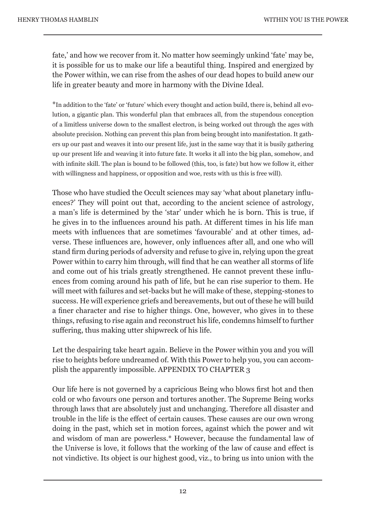fate,' and how we recover from it. No matter how seemingly unkind 'fate' may be, it is possible for us to make our life a beautiful thing. Inspired and energized by the Power within, we can rise from the ashes of our dead hopes to build anew our life in greater beauty and more in harmony with the Divine Ideal.

\*In addition to the 'fate' or 'future' which every thought and action build, there is, behind all evolution, a gigantic plan. This wonderful plan that embraces all, from the stupendous conception of a limitless universe down to the smallest electron, is being worked out through the ages with absolute precision. Nothing can prevent this plan from being brought into manifestation. It gathers up our past and weaves it into our present life, just in the same way that it is busily gathering up our present life and weaving it into future fate. It works it all into the big plan, somehow, and with infinite skill. The plan is bound to be followed (this, too, is fate) but how we follow it, either with willingness and happiness, or opposition and woe, rests with us this is free will).

Those who have studied the Occult sciences may say 'what about planetary influences?' They will point out that, according to the ancient science of astrology, a man's life is determined by the 'star' under which he is born. This is true, if he gives in to the influences around his path. At different times in his life man meets with influences that are sometimes 'favourable' and at other times, adverse. These influences are, however, only influences after all, and one who will stand firm during periods of adversity and refuse to give in, relying upon the great Power within to carry him through, will find that he can weather all storms of life and come out of his trials greatly strengthened. He cannot prevent these influences from coming around his path of life, but he can rise superior to them. He will meet with failures and set-backs but he will make of these, stepping-stones to success. He will experience griefs and bereavements, but out of these he will build a finer character and rise to higher things. One, however, who gives in to these things, refusing to rise again and reconstruct his life, condemns himself to further suffering, thus making utter shipwreck of his life.

Let the despairing take heart again. Believe in the Power within you and you will rise to heights before undreamed of. With this Power to help you, you can accomplish the apparently impossible. APPENDIX TO CHAPTER 3

Our life here is not governed by a capricious Being who blows first hot and then cold or who favours one person and tortures another. The Supreme Being works through laws that are absolutely just and unchanging. Therefore all disaster and trouble in the life is the effect of certain causes. These causes are our own wrong doing in the past, which set in motion forces, against which the power and wit and wisdom of man are powerless.\* However, because the fundamental law of the Universe is love, it follows that the working of the law of cause and effect is not vindictive. Its object is our highest good, viz., to bring us into union with the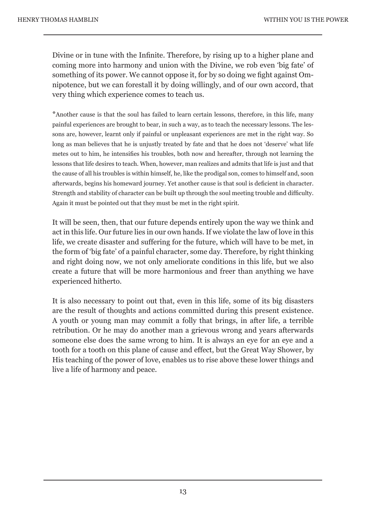Divine or in tune with the Infinite. Therefore, by rising up to a higher plane and coming more into harmony and union with the Divine, we rob even 'big fate' of something of its power. We cannot oppose it, for by so doing we fight against Omnipotence, but we can forestall it by doing willingly, and of our own accord, that very thing which experience comes to teach us.

\*Another cause is that the soul has failed to learn certain lessons, therefore, in this life, many painful experiences are brought to bear, in such a way, as to teach the necessary lessons. The lessons are, however, learnt only if painful or unpleasant experiences are met in the right way. So long as man believes that he is unjustly treated by fate and that he does not 'deserve' what life metes out to him, he intensifies his troubles, both now and hereafter, through not learning the lessons that life desires to teach. When, however, man realizes and admits that life is just and that the cause of all his troubles is within himself, he, like the prodigal son, comes to himself and, soon afterwards, begins his homeward journey. Yet another cause is that soul is deficient in character. Strength and stability of character can be built up through the soul meeting trouble and difficulty. Again it must be pointed out that they must be met in the right spirit.

It will be seen, then, that our future depends entirely upon the way we think and act in this life. Our future lies in our own hands. If we violate the law of love in this life, we create disaster and suffering for the future, which will have to be met, in the form of 'big fate' of a painful character, some day. Therefore, by right thinking and right doing now, we not only ameliorate conditions in this life, but we also create a future that will be more harmonious and freer than anything we have experienced hitherto.

It is also necessary to point out that, even in this life, some of its big disasters are the result of thoughts and actions committed during this present existence. A youth or young man may commit a folly that brings, in after life, a terrible retribution. Or he may do another man a grievous wrong and years afterwards someone else does the same wrong to him. It is always an eye for an eye and a tooth for a tooth on this plane of cause and effect, but the Great Way Shower, by His teaching of the power of love, enables us to rise above these lower things and live a life of harmony and peace.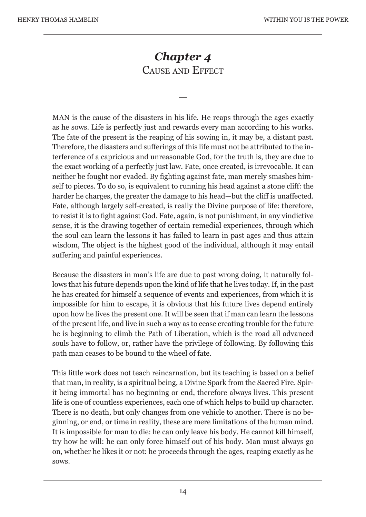# *Chapter 4* CAUSE AND EFFECT

—

MAN is the cause of the disasters in his life. He reaps through the ages exactly as he sows. Life is perfectly just and rewards every man according to his works. The fate of the present is the reaping of his sowing in, it may be, a distant past. Therefore, the disasters and sufferings of this life must not be attributed to the interference of a capricious and unreasonable God, for the truth is, they are due to the exact working of a perfectly just law. Fate, once created, is irrevocable. It can neither be fought nor evaded. By fighting against fate, man merely smashes himself to pieces. To do so, is equivalent to running his head against a stone cliff: the harder he charges, the greater the damage to his head—but the cliff is unaffected. Fate, although largely self-created, is really the Divine purpose of life: therefore, to resist it is to fight against God. Fate, again, is not punishment, in any vindictive sense, it is the drawing together of certain remedial experiences, through which the soul can learn the lessons it has failed to learn in past ages and thus attain wisdom, The object is the highest good of the individual, although it may entail suffering and painful experiences.

Because the disasters in man's life are due to past wrong doing, it naturally follows that his future depends upon the kind of life that he lives today. If, in the past he has created for himself a sequence of events and experiences, from which it is impossible for him to escape, it is obvious that his future lives depend entirely upon how he lives the present one. It will be seen that if man can learn the lessons of the present life, and live in such a way as to cease creating trouble for the future he is beginning to climb the Path of Liberation, which is the road all advanced souls have to follow, or, rather have the privilege of following. By following this path man ceases to be bound to the wheel of fate.

This little work does not teach reincarnation, but its teaching is based on a belief that man, in reality, is a spiritual being, a Divine Spark from the Sacred Fire. Spirit being immortal has no beginning or end, therefore always lives. This present life is one of countless experiences, each one of which helps to build up character. There is no death, but only changes from one vehicle to another. There is no beginning, or end, or time in reality, these are mere limitations of the human mind. It is impossible for man to die: he can only leave his body. He cannot kill himself, try how he will: he can only force himself out of his body. Man must always go on, whether he likes it or not: he proceeds through the ages, reaping exactly as he sows.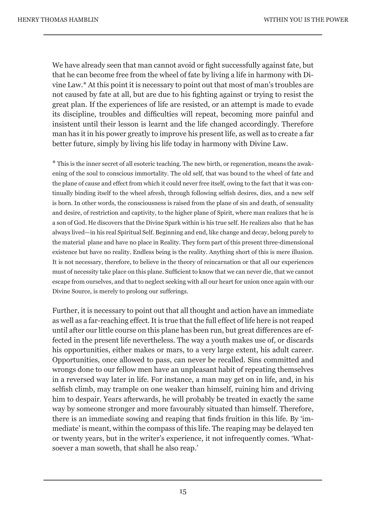We have already seen that man cannot avoid or fight successfully against fate, but that he can become free from the wheel of fate by living a life in harmony with Divine Law.\* At this point it is necessary to point out that most of man's troubles are not caused by fate at all, but are due to his fighting against or trying to resist the great plan. If the experiences of life are resisted, or an attempt is made to evade its discipline, troubles and difficulties will repeat, becoming more painful and insistent until their lesson is learnt and the life changed accordingly. Therefore man has it in his power greatly to improve his present life, as well as to create a far better future, simply by living his life today in harmony with Divine Law.

\* This is the inner secret of all esoteric teaching. The new birth, or regeneration, means the awakening of the soul to conscious immortality. The old self, that was bound to the wheel of fate and the plane of cause and effect from which it could never free itself, owing to the fact that it was continually binding itself to the wheel afresh, through following selfish desires, dies, and a new self is born. In other words, the consciousness is raised from the plane of sin and death, of sensuality and desire, of restriction and captivity, to the higher plane of Spirit, where man realizes that he is a son of God. He discovers that the Divine Spark within is his true self. He realizes also that he has always lived—in his real Spiritual Self. Beginning and end, like change and decay, belong purely to the material plane and have no place in Reality. They form part of this present three-dimensional existence but have no reality. Endless being is the reality. Anything short of this is mere illusion. It is not necessary, therefore, to believe in the theory of reincarnation or that all our experiences must of necessity take place on this plane. Sufficient to know that we can never die, that we cannot escape from ourselves, and that to neglect seeking with all our heart for union once again with our Divine Source, is merely to prolong our sufferings.

Further, it is necessary to point out that all thought and action have an immediate as well as a far-reaching effect. It is true that the full effect of life here is not reaped until after our little course on this plane has been run, but great differences are effected in the present life nevertheless. The way a youth makes use of, or discards his opportunities, either makes or mars, to a very large extent, his adult career. Opportunities, once allowed to pass, can never be recalled. Sins committed and wrongs done to our fellow men have an unpleasant habit of repeating themselves in a reversed way later in life. For instance, a man may get on in life, and, in his selfish climb, may trample on one weaker than himself, ruining him and driving him to despair. Years afterwards, he will probably be treated in exactly the same way by someone stronger and more favourably situated than himself. Therefore, there is an immediate sowing and reaping that finds fruition in this life. By 'immediate' is meant, within the compass of this life. The reaping may be delayed ten or twenty years, but in the writer's experience, it not infrequently comes. 'Whatsoever a man soweth, that shall he also reap.'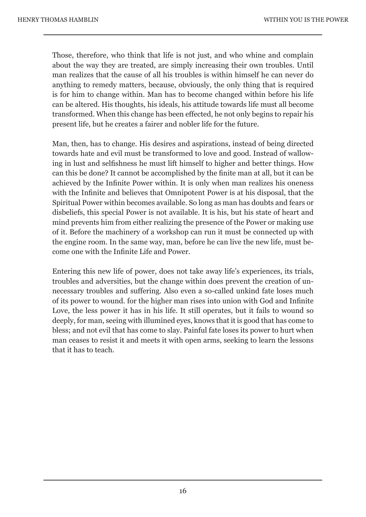Those, therefore, who think that life is not just, and who whine and complain about the way they are treated, are simply increasing their own troubles. Until man realizes that the cause of all his troubles is within himself he can never do anything to remedy matters, because, obviously, the only thing that is required is for him to change within. Man has to become changed within before his life can be altered. His thoughts, his ideals, his attitude towards life must all become transformed. When this change has been effected, he not only begins to repair his present life, but he creates a fairer and nobler life for the future.

Man, then, has to change. His desires and aspirations, instead of being directed towards hate and evil must be transformed to love and good. Instead of wallowing in lust and selfishness he must lift himself to higher and better things. How can this be done? It cannot be accomplished by the finite man at all, but it can be achieved by the Infinite Power within. It is only when man realizes his oneness with the Infinite and believes that Omnipotent Power is at his disposal, that the Spiritual Power within becomes available. So long as man has doubts and fears or disbeliefs, this special Power is not available. It is his, but his state of heart and mind prevents him from either realizing the presence of the Power or making use of it. Before the machinery of a workshop can run it must be connected up with the engine room. In the same way, man, before he can live the new life, must become one with the Infinite Life and Power.

Entering this new life of power, does not take away life's experiences, its trials, troubles and adversities, but the change within does prevent the creation of unnecessary troubles and suffering. Also even a so-called unkind fate loses much of its power to wound. for the higher man rises into union with God and Infinite Love, the less power it has in his life. It still operates, but it fails to wound so deeply, for man, seeing with illumined eyes, knows that it is good that has come to bless; and not evil that has come to slay. Painful fate loses its power to hurt when man ceases to resist it and meets it with open arms, seeking to learn the lessons that it has to teach.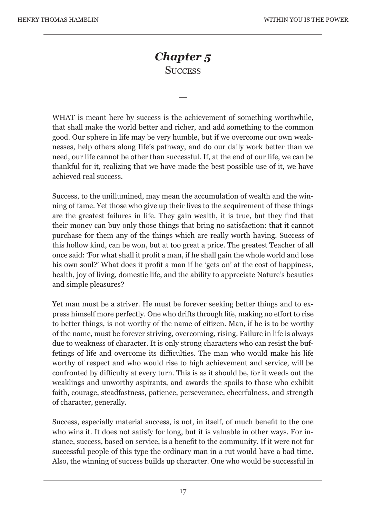### *Chapter 5*  **SUCCESS**

—

WHAT is meant here by success is the achievement of something worthwhile, that shall make the world better and richer, and add something to the common good. Our sphere in life may be very humble, but if we overcome our own weaknesses, help others along Iife's pathway, and do our daily work better than we need, our life cannot be other than successful. If, at the end of our life, we can be thankful for it, realizing that we have made the best possible use of it, we have achieved real success.

Success, to the unillumined, may mean the accumulation of wealth and the winning of fame. Yet those who give up their lives to the acquirement of these things are the greatest failures in life. They gain wealth, it is true, but they find that their money can buy only those things that bring no satisfaction: that it cannot purchase for them any of the things which are really worth having. Success of this hollow kind, can be won, but at too great a price. The greatest Teacher of all once said: 'For what shall it profit a man, if he shall gain the whole world and lose his own soul?' What does it profit a man if he 'gets on' at the cost of happiness, health, joy of living, domestic life, and the ability to appreciate Nature's beauties and simple pleasures?

Yet man must be a striver. He must be forever seeking better things and to express himself more perfectly. One who drifts through life, making no effort to rise to better things, is not worthy of the name of citizen. Man, if he is to be worthy of the name, must be forever striving, overcoming, rising. Failure in life is always due to weakness of character. It is only strong characters who can resist the buffetings of life and overcome its difficulties. The man who would make his life worthy of respect and who would rise to high achievement and service, will be confronted by difficulty at every turn. This is as it should be, for it weeds out the weaklings and unworthy aspirants, and awards the spoils to those who exhibit faith, courage, steadfastness, patience, perseverance, cheerfulness, and strength of character, generally.

Success, especially material success, is not, in itself, of much benefit to the one who wins it. It does not satisfy for long, but it is valuable in other ways. For instance, success, based on service, is a benefit to the community. If it were not for successful people of this type the ordinary man in a rut would have a bad time. Also, the winning of success builds up character. One who would be successful in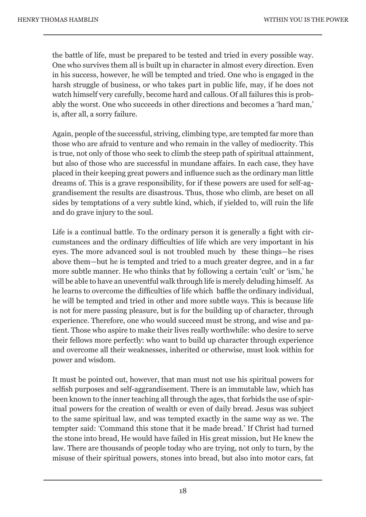the battle of life, must be prepared to be tested and tried in every possible way. One who survives them all is built up in character in almost every direction. Even in his success, however, he will be tempted and tried. One who is engaged in the harsh struggle of business, or who takes part in public life, may, if he does not watch himself very carefully, become hard and callous. Of all failures this is probably the worst. One who succeeds in other directions and becomes a 'hard man,' is, after all, a sorry failure.

Again, people of the successful, striving, climbing type, are tempted far more than those who are afraid to venture and who remain in the valley of mediocrity. This is true, not only of those who seek to climb the steep path of spiritual attainment, but also of those who are successful in mundane affairs. In each case, they have placed in their keeping great powers and influence such as the ordinary man little dreams of. This is a grave responsibility, for if these powers are used for self-aggrandisement the results are disastrous. Thus, those who climb, are beset on all sides by temptations of a very subtle kind, which, if yielded to, will ruin the life and do grave injury to the soul.

Life is a continual battle. To the ordinary person it is generally a fight with circumstances and the ordinary difficulties of life which are very important in his eyes. The more advanced soul is not troubled much by these things—he rises above them—but he is tempted and tried to a much greater degree, and in a far more subtle manner. He who thinks that by following a certain 'cult' or 'ism,' he will be able to have an uneventful walk through life is merely deluding himself. As he learns to overcome the difficulties of life which baffle the ordinary individual, he will be tempted and tried in other and more subtle ways. This is because life is not for mere passing pleasure, but is for the building up of character, through experience. Therefore, one who would succeed must be strong, and wise and patient. Those who aspire to make their lives really worthwhile: who desire to serve their fellows more perfectly: who want to build up character through experience and overcome all their weaknesses, inherited or otherwise, must look within for power and wisdom.

It must be pointed out, however, that man must not use his spiritual powers for selfish purposes and self-aggrandisement. There is an immutable law, which has been known to the inner teaching all through the ages, that forbids the use of spiritual powers for the creation of wealth or even of daily bread. Jesus was subject to the same spiritual law, and was tempted exactly in the same way as we. The tempter said: 'Command this stone that it be made bread.' If Christ had turned the stone into bread, He would have failed in His great mission, but He knew the law. There are thousands of people today who are trying, not only to turn, by the misuse of their spiritual powers, stones into bread, but also into motor cars, fat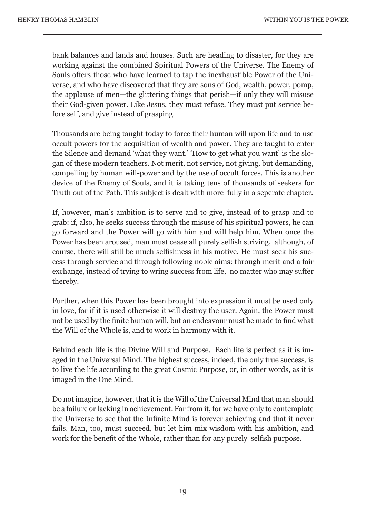bank balances and lands and houses. Such are heading to disaster, for they are working against the combined Spiritual Powers of the Universe. The Enemy of Souls offers those who have learned to tap the inexhaustible Power of the Universe, and who have discovered that they are sons of God, wealth, power, pomp, the applause of men—the glittering things that perish—if only they will misuse their God-given power. Like Jesus, they must refuse. They must put service before self, and give instead of grasping.

Thousands are being taught today to force their human will upon life and to use occult powers for the acquisition of wealth and power. They are taught to enter the Silence and demand 'what they want.' 'How to get what you want' is the slogan of these modern teachers. Not merit, not service, not giving, but demanding, compelling by human will-power and by the use of occult forces. This is another device of the Enemy of Souls, and it is taking tens of thousands of seekers for Truth out of the Path. This subject is dealt with more fully in a seperate chapter.

If, however, man's ambition is to serve and to give, instead of to grasp and to grab: if, also, he seeks success through the misuse of his spiritual powers, he can go forward and the Power will go with him and will help him. When once the Power has been aroused, man must cease all purely selfish striving, although, of course, there will still be much selfishness in his motive. He must seek his success through service and through following noble aims: through merit and a fair exchange, instead of trying to wring success from life, no matter who may suffer thereby.

Further, when this Power has been brought into expression it must be used only in love, for if it is used otherwise it will destroy the user. Again, the Power must not be used by the finite human will, but an endeavour must be made to find what the Will of the Whole is, and to work in harmony with it.

Behind each life is the Divine Will and Purpose. Each life is perfect as it is imaged in the Universal Mind. The highest success, indeed, the only true success, is to live the life according to the great Cosmic Purpose, or, in other words, as it is imaged in the One Mind.

Do not imagine, however, that it is the Will of the Universal Mind that man should be a failure or lacking in achievement. Far from it, for we have only to contemplate the Universe to see that the Infinite Mind is forever achieving and that it never fails. Man, too, must succeed, but let him mix wisdom with his ambition, and work for the benefit of the Whole, rather than for any purely selfish purpose.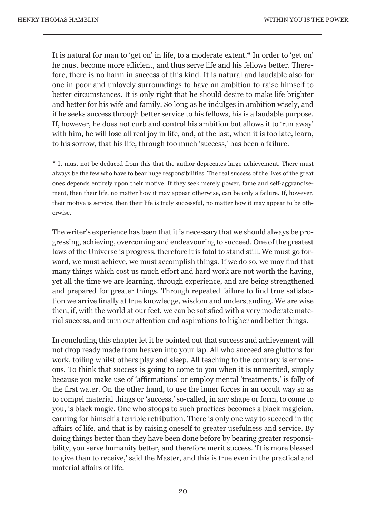It is natural for man to 'get on' in life, to a moderate extent.\* In order to 'get on' he must become more efficient, and thus serve life and his fellows better. Therefore, there is no harm in success of this kind. It is natural and laudable also for one in poor and unlovely surroundings to have an ambition to raise himself to better circumstances. It is only right that he should desire to make life brighter and better for his wife and family. So long as he indulges in ambition wisely, and if he seeks success through better service to his fellows, his is a laudable purpose. If, however, he does not curb and control his ambition but allows it to 'run away' with him, he will lose all real joy in life, and, at the last, when it is too late, learn, to his sorrow, that his life, through too much 'success,' has been a failure.

\* It must not be deduced from this that the author deprecates large achievement. There must always be the few who have to bear huge responsibilities. The real success of the lives of the great ones depends entirely upon their motive. If they seek merely power, fame and self-aggrandisement, then their life, no matter how it may appear otherwise, can be only a failure. If, however, their motive is service, then their life is truly successful, no matter how it may appear to be otherwise.

The writer's experience has been that it is necessary that we should always be progressing, achieving, overcoming and endeavouring to succeed. One of the greatest laws of the Universe is progress, therefore it is fatal to stand still. We must go forward, we must achieve, we must accomplish things. If we do so, we may find that many things which cost us much effort and hard work are not worth the having, yet all the time we are learning, through experience, and are being strengthened and prepared for greater things. Through repeated failure to find true satisfaction we arrive finally at true knowledge, wisdom and understanding. We are wise then, if, with the world at our feet, we can be satisfied with a very moderate material success, and turn our attention and aspirations to higher and better things.

In concluding this chapter let it be pointed out that success and achievement will not drop ready made from heaven into your lap. All who succeed are gluttons for work, toiling whilst others play and sleep. All teaching to the contrary is erroneous. To think that success is going to come to you when it is unmerited, simply because you make use of 'affirmations' or employ mental 'treatments,' is folly of the first water. On the other hand, to use the inner forces in an occult way so as to compel material things or 'success,' so-called, in any shape or form, to come to you, is black magic. One who stoops to such practices becomes a black magician, earning for himself a terrible retribution. There is only one way to succeed in the affairs of life, and that is by raising oneself to greater usefulness and service. By doing things better than they have been done before by bearing greater responsibility, you serve humanity better, and therefore merit success. 'It is more blessed to give than to receive,' said the Master, and this is true even in the practical and material affairs of life.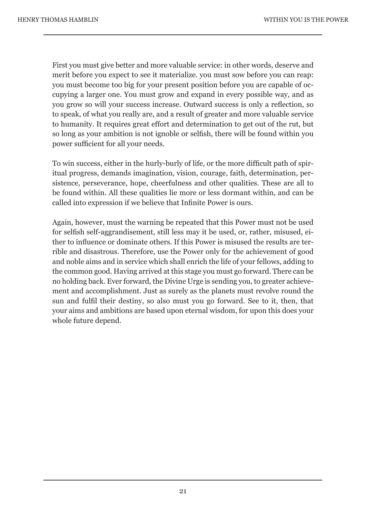First you must give better and more valuable service: in other words, deserve and merit before you expect to see it materialize. you must sow before you can reap: you must become too big for your present position before you are capable of occupying a larger one. You must grow and expand in every possible way, and as you grow so will your success increase. Outward success is only a reflection, so to speak, of what you really are, and a result of greater and more valuable service to humanity. It requires great effort and determination to get out of the rut, but so long as your ambition is not ignoble or selfish, there will be found within you power sufficient for all your needs.

To win success, either in the hurly-burly of life, or the more difficult path of spiritual progress, demands imagination, vision, courage, faith, determination, persistence, perseverance, hope, cheerfulness and other qualities. These are all to be found within. All these qualities lie more or less dormant within, and can be called into expression if we believe that Infinite Power is ours.

Again, however, must the warning be repeated that this Power must not be used for selfish self-aggrandisement, still less may it be used, or, rather, misused, either to influence or dominate others. If this Power is misused the results are terrible and disastrous. Therefore, use the Power only for the achievement of good and noble aims and in service which shall enrich the life of your fellows, adding to the common good. Having arrived at this stage you must go forward. There can be no holding back. Ever forward, the Divine Urge is sending you, to greater achievement and accomplishment. Just as surely as the planets must revolve round the sun and fulfil their destiny, so also must you go forward. See to it, then, that your aims and ambitions are based upon eternal wisdom, for upon this does your whole future depend.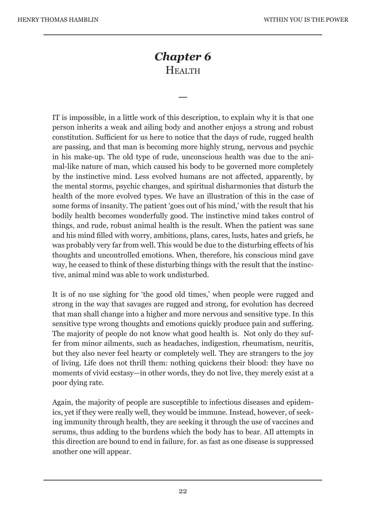# *Chapter 6*  **HEALTH**

—

IT is impossible, in a little work of this description, to explain why it is that one person inherits a weak and ailing body and another enjoys a strong and robust constitution. Sufficient for us here to notice that the days of rude, rugged health are passing, and that man is becoming more highly strung, nervous and psychic in his make-up. The old type of rude, unconscious health was due to the animal-like nature of man, which caused his body to be governed more completely by the instinctive mind. Less evolved humans are not affected, apparently, by the mental storms, psychic changes, and spiritual disharmonies that disturb the health of the more evolved types. We have an illustration of this in the case of some forms of insanity. The patient 'goes out of his mind,' with the result that his bodily health becomes wonderfully good. The instinctive mind takes control of things, and rude, robust animal health is the result. When the patient was sane and his mind filled with worry, ambitions, plans, cares, lusts, hates and griefs, he was probably very far from well. This would be due to the disturbing effects of his thoughts and uncontrolled emotions. When, therefore, his conscious mind gave way, he ceased to think of these disturbing things with the result that the instinctive, animal mind was able to work undisturbed.

It is of no use sighing for 'the good old times,' when people were rugged and strong in the way that savages are rugged and strong, for evolution has decreed that man shall change into a higher and more nervous and sensitive type. In this sensitive type wrong thoughts and emotions quickly produce pain and suffering. The majority of people do not know what good health is. Not only do they suffer from minor ailments, such as headaches, indigestion, rheumatism, neuritis, but they also never feel hearty or completely well. They are strangers to the joy of living. Life does not thrill them: nothing quickens their blood: they have no moments of vivid ecstasy—in other words, they do not live, they merely exist at a poor dying rate.

Again, the majority of people are susceptible to infectious diseases and epidemics, yet if they were really well, they would be immune. Instead, however, of seeking immunity through health, they are seeking it through the use of vaccines and serums, thus adding to the burdens which the body has to bear. AIl attempts in this direction are bound to end in failure, for. as fast as one disease is suppressed another one will appear.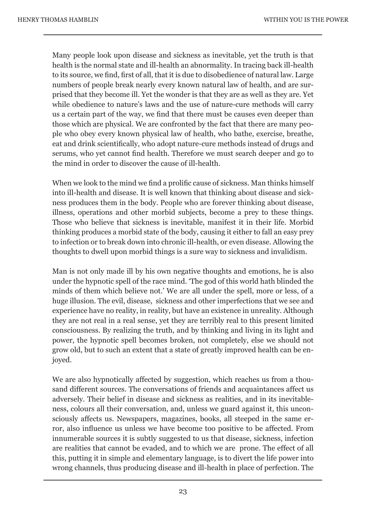Many people look upon disease and sickness as inevitable, yet the truth is that health is the normal state and ill-health an abnormality. In tracing back ill-health to its source, we find, first of all, that it is due to disobedience of natural law. Large numbers of people break nearly every known natural law of health, and are surprised that they become ill. Yet the wonder is that they are as well as they are. Yet while obedience to nature's laws and the use of nature-cure methods will carry us a certain part of the way, we find that there must be causes even deeper than those which are physical. We are confronted by the fact that there are many people who obey every known physical law of health, who bathe, exercise, breathe, eat and drink scientifically, who adopt nature-cure methods instead of drugs and serums, who yet cannot find health. Therefore we must search deeper and go to the mind in order to discover the cause of ill-health.

When we look to the mind we find a prolific cause of sickness. Man thinks himself into ill-health and disease. It is well known that thinking about disease and sickness produces them in the body. People who are forever thinking about disease, illness, operations and other morbid subjects, become a prey to these things. Those who believe that sickness is inevitable, manifest it in their life. Morbid thinking produces a morbid state of the body, causing it either to fall an easy prey to infection or to break down into chronic ill-health, or even disease. Allowing the thoughts to dwell upon morbid things is a sure way to sickness and invalidism.

Man is not only made ill by his own negative thoughts and emotions, he is also under the hypnotic spell of the race mind. 'The god of this world hath blinded the minds of them which believe not.' We are all under the spell, more or less, of a huge illusion. The evil, disease, sickness and other imperfections that we see and experience have no reality, in reality, but have an existence in unreality. Although they are not real in a real sense, yet they are terribly real to this present limited consciousness. By realizing the truth, and by thinking and living in its light and power, the hypnotic spell becomes broken, not completely, else we should not grow old, but to such an extent that a state of greatly improved health can be enjoyed.

We are also hypnotically affected by suggestion, which reaches us from a thousand different sources. The conversations of friends and acquaintances affect us adversely. Their belief in disease and sickness as realities, and in its inevitableness, colours all their conversation, and, unless we guard against it, this unconsciously affects us. Newspapers, magazines, books, all steeped in the same error, also influence us unless we have become too positive to be affected. From innumerable sources it is subtly suggested to us that disease, sickness, infection are realities that cannot be evaded, and to which we are prone. The effect of all this, putting it in simple and elementary language, is to divert the life power into wrong channels, thus producing disease and ill-health in place of perfection. The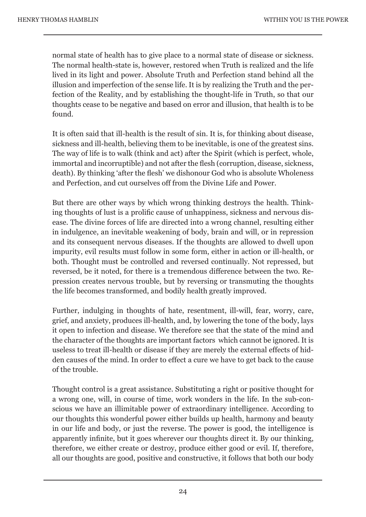normal state of health has to give place to a normal state of disease or sickness. The normal health-state is, however, restored when Truth is realized and the life lived in its light and power. Absolute Truth and Perfection stand behind all the illusion and imperfection of the sense life. It is by realizing the Truth and the perfection of the Reality, and by establishing the thought-life in Truth, so that our thoughts cease to be negative and based on error and illusion, that health is to be found.

It is often said that ill-health is the result of sin. It is, for thinking about disease, sickness and ill-health, believing them to be inevitable, is one of the greatest sins. The way of life is to walk (think and act) after the Spirit (which is perfect, whole, immortal and incorruptible) and not after the flesh (corruption, disease, sickness, death). By thinking 'after the flesh' we dishonour God who is absolute Wholeness and Perfection, and cut ourselves off from the Divine Life and Power.

But there are other ways by which wrong thinking destroys the health. Thinking thoughts of lust is a prolific cause of unhappiness, sickness and nervous disease. The divine forces of life are directed into a wrong channel, resulting either in indulgence, an inevitable weakening of body, brain and will, or in repression and its consequent nervous diseases. If the thoughts are allowed to dwell upon impurity, evil results must follow in some form, either in action or ill-health, or both. Thought must be controlled and reversed continually. Not repressed, but reversed, be it noted, for there is a tremendous difference between the two. Repression creates nervous trouble, but by reversing or transmuting the thoughts the life becomes transformed, and bodily health greatly improved.

Further, indulging in thoughts of hate, resentment, ill-will, fear, worry, care, grief, and anxiety, produces ill-health, and, by lowering the tone of the body, lays it open to infection and disease. We therefore see that the state of the mind and the character of the thoughts are important factors which cannot be ignored. It is useless to treat ill-health or disease if they are merely the external effects of hidden causes of the mind. In order to effect a cure we have to get back to the cause of the trouble.

Thought control is a great assistance. Substituting a right or positive thought for a wrong one, will, in course of time, work wonders in the life. In the sub-conscious we have an illimitable power of extraordinary intelligence. According to our thoughts this wonderful power either builds up health, harmony and beauty in our life and body, or just the reverse. The power is good, the intelligence is apparently infinite, but it goes wherever our thoughts direct it. By our thinking, therefore, we either create or destroy, produce either good or evil. If, therefore, all our thoughts are good, positive and constructive, it follows that both our body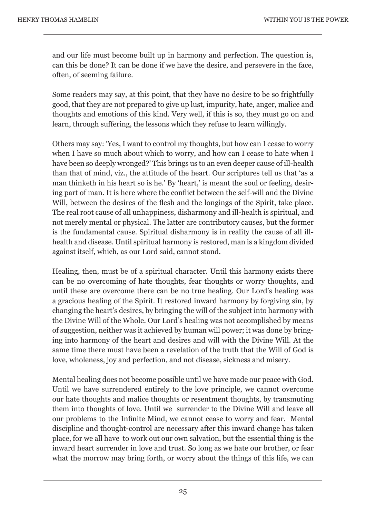and our life must become built up in harmony and perfection. The question is, can this be done? It can be done if we have the desire, and persevere in the face, often, of seeming failure.

Some readers may say, at this point, that they have no desire to be so frightfully good, that they are not prepared to give up lust, impurity, hate, anger, malice and thoughts and emotions of this kind. Very well, if this is so, they must go on and learn, through suffering, the lessons which they refuse to learn willingly.

Others may say: 'Yes, I want to control my thoughts, but how can I cease to worry when I have so much about which to worry, and how can I cease to hate when I have been so deeply wronged?' This brings us to an even deeper cause of ill-health than that of mind, viz., the attitude of the heart. Our scriptures tell us that 'as a man thinketh in his heart so is he.' By 'heart,' is meant the soul or feeling, desiring part of man. It is here where the conflict between the self-will and the Divine Will, between the desires of the flesh and the longings of the Spirit, take place. The real root cause of all unhappiness, disharmony and ill-health is spiritual, and not merely mental or physical. The latter are contributory causes, but the former is the fundamental cause. Spiritual disharmony is in reality the cause of all illhealth and disease. Until spiritual harmony is restored, man is a kingdom divided against itself, which, as our Lord said, cannot stand.

Healing, then, must be of a spiritual character. Until this harmony exists there can be no overcoming of hate thoughts, fear thoughts or worry thoughts, and until these are overcome there can be no true healing. Our Lord's healing was a gracious healing of the Spirit. It restored inward harmony by forgiving sin, by changing the heart's desires, by bringing the will of the subject into harmony with the Divine Will of the Whole. Our Lord's healing was not accomplished by means of suggestion, neither was it achieved by human will power; it was done by bringing into harmony of the heart and desires and will with the Divine Will. At the same time there must have been a revelation of the truth that the Will of God is love, wholeness, joy and perfection, and not disease, sickness and misery.

Mental healing does not become possible until we have made our peace with God. Until we have surrendered entirely to the love principle, we cannot overcome our hate thoughts and malice thoughts or resentment thoughts, by transmuting them into thoughts of love. Until we surrender to the Divine Will and leave all our problems to the Infinite Mind, we cannot cease to worry and fear. Mental discipline and thought-control are necessary after this inward change has taken place, for we all have to work out our own salvation, but the essential thing is the inward heart surrender in love and trust. So long as we hate our brother, or fear what the morrow may bring forth, or worry about the things of this life, we can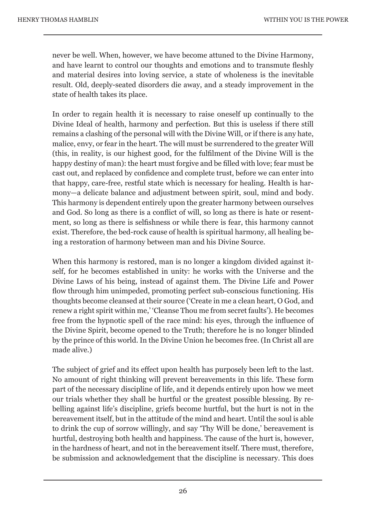never be well. When, however, we have become attuned to the Divine Harmony, and have learnt to control our thoughts and emotions and to transmute fleshly and material desires into loving service, a state of wholeness is the inevitable result. Old, deeply-seated disorders die away, and a steady improvement in the state of health takes its place.

In order to regain health it is necessary to raise oneself up continually to the Divine Ideal of health, harmony and perfection. But this is useless if there still remains a clashing of the personal will with the Divine Will, or if there is any hate, malice, envy, or fear in the heart. The will must be surrendered to the greater Will (this, in reality, is our highest good, for the fulfilment of the Divine Will is the happy destiny of man): the heart must forgive and be filled with love; fear must be cast out, and replaced by confidence and complete trust, before we can enter into that happy, care-free, restful state which is necessary for healing. Health is harmony—a delicate balance and adjustment between spirit, soul, mind and body. This harmony is dependent entirely upon the greater harmony between ourselves and God. So long as there is a conflict of will, so long as there is hate or resentment, so long as there is selfishness or while there is fear, this harmony cannot exist. Therefore, the bed-rock cause of health is spiritual harmony, all healing being a restoration of harmony between man and his Divine Source.

When this harmony is restored, man is no longer a kingdom divided against itself, for he becomes established in unity: he works with the Universe and the Divine Laws of his being, instead of against them. The Divine Life and Power flow through him unimpeded, promoting perfect sub-conscious functioning. His thoughts become cleansed at their source ('Create in me a clean heart, O God, and renew a right spirit within me,' 'Cleanse Thou me from secret faults'). He becomes free from the hypnotic spell of the race mind: his eyes, through the influence of the Divine Spirit, become opened to the Truth; therefore he is no longer blinded by the prince of this world. In the Divine Union he becomes free. (In Christ all are made alive.)

The subject of grief and its effect upon health has purposely been left to the last. No amount of right thinking will prevent bereavements in this life. These form part of the necessary discipline of life, and it depends entirely upon how we meet our trials whether they shall be hurtful or the greatest possible blessing. By rebelling against life's discipline, griefs become hurtful, but the hurt is not in the bereavement itself, but in the attitude of the mind and heart. Until the soul is able to drink the cup of sorrow willingly, and say 'Thy Will be done,' bereavement is hurtful, destroying both health and happiness. The cause of the hurt is, however, in the hardness of heart, and not in the bereavement itself. There must, therefore, be submission and acknowledgement that the discipline is necessary. This does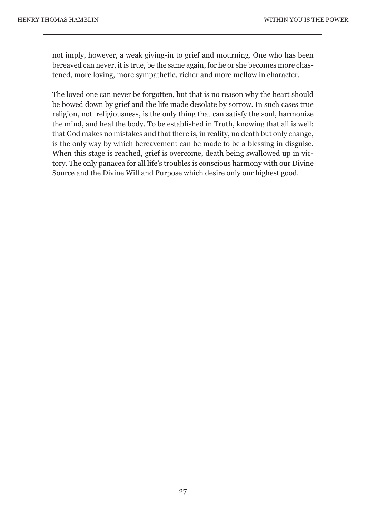not imply, however, a weak giving-in to grief and mourning. One who has been bereaved can never, it is true, be the same again, for he or she becomes more chastened, more loving, more sympathetic, richer and more mellow in character.

The loved one can never be forgotten, but that is no reason why the heart should be bowed down by grief and the life made desolate by sorrow. In such cases true religion, not religiousness, is the only thing that can satisfy the soul, harmonize the mind, and heal the body. To be established in Truth, knowing that all is well: that God makes no mistakes and that there is, in reality, no death but only change, is the only way by which bereavement can be made to be a blessing in disguise. When this stage is reached, grief is overcome, death being swallowed up in victory. The only panacea for all life's troubles is conscious harmony with our Divine Source and the Divine Will and Purpose which desire only our highest good.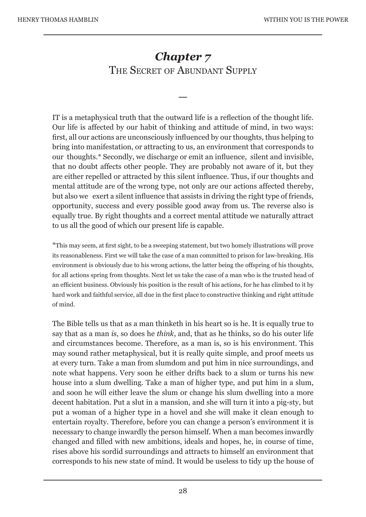### *Chapter 7*  THE SECRET OF ABUNDANT SUPPLY

—

IT is a metaphysical truth that the outward life is a reflection of the thought life. Our life is affected by our habit of thinking and attitude of mind, in two ways: first, all our actions are unconsciously influenced by our thoughts, thus helping to bring into manifestation, or attracting to us, an environment that corresponds to our thoughts.\* Secondly, we discharge or emit an influence, silent and invisible, that no doubt affects other people. They are probably not aware of it, but they are either repelled or attracted by this silent influence. Thus, if our thoughts and mental attitude are of the wrong type, not only are our actions affected thereby, but also we exert a silent influence that assists in driving the right type of friends, opportunity, success and every possible good away from us. The reverse also is equally true. By right thoughts and a correct mental attitude we naturally attract to us all the good of which our present life is capable.

\*This may seem, at first sight, to be a sweeping statement, but two homely illustrations will prove its reasonableness. First we will take the case of a man committed to prison for law-breaking. His environment is obviously due to his wrong actions, the latter being the offspring of his thoughts, for all actions spring from thoughts. Next let us take the case of a man who is the trusted head of an efficient business. Obviously his position is the result of his actions, for he has climbed to it by hard work and faithful service, all due in the first place to constructive thinking and right attitude of mind.

The Bible tells us that as a man thinketh in his heart so is he. It is equally true to say that as a man *is*, so does he *think*, and, that as he thinks, so do his outer life and circumstances become. Therefore, as a man is, so is his environment. This may sound rather metaphysical, but it is really quite simple, and proof meets us at every turn. Take a man from slumdom and put him in nice surroundings, and note what happens. Very soon he either drifts back to a slum or turns his new house into a slum dwelling. Take a man of higher type, and put him in a slum, and soon he will either leave the slum or change his slum dwelling into a more decent habitation. Put a slut in a mansion, and she will turn it into a pig-sty, but put a woman of a higher type in a hovel and she will make it clean enough to entertain royalty. Therefore, before you can change a person's environment it is necessary to change inwardly the person himself. When a man becomes inwardly changed and filled with new ambitions, ideals and hopes, he, in course of time, rises above his sordid surroundings and attracts to himself an environment that corresponds to his new state of mind. It would be useless to tidy up the house of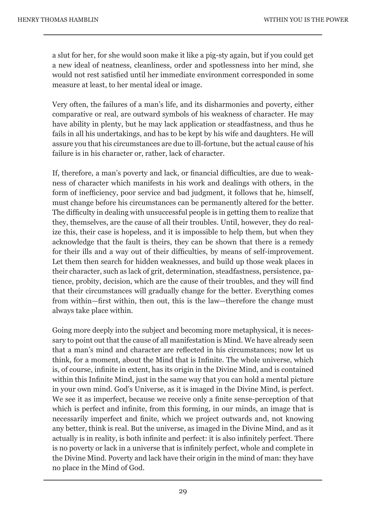a slut for her, for she would soon make it like a pig-sty again, but if you could get a new ideal of neatness, cleanliness, order and spotlessness into her mind, she would not rest satisfied until her immediate environment corresponded in some measure at least, to her mental ideal or image.

Very often, the failures of a man's life, and its disharmonies and poverty, either comparative or real, are outward symbols of his weakness of character. He may have ability in plenty, but he may lack application or steadfastness, and thus he fails in all his undertakings, and has to be kept by his wife and daughters. He will assure you that his circumstances are due to ill-fortune, but the actual cause of his failure is in his character or, rather, lack of character.

If, therefore, a man's poverty and lack, or financial difficulties, are due to weakness of character which manifests in his work and dealings with others, in the form of inefficiency, poor service and bad judgment, it follows that he, himself, must change before his circumstances can be permanently altered for the better. The difficulty in dealing with unsuccessful people is in getting them to realize that they, themselves, are the cause of all their troubles. Until, however, they do realize this, their case is hopeless, and it is impossible to help them, but when they acknowledge that the fault is theirs, they can be shown that there is a remedy for their ills and a way out of their difficulties, by means of self-improvement. Let them then search for hidden weaknesses, and build up those weak places in their character, such as lack of grit, determination, steadfastness, persistence, patience, probity, decision, which are the cause of their troubles, and they will find that their circumstances will gradually change for the better. Everything comes from within—first within, then out, this is the law—therefore the change must always take place within.

Going more deeply into the subject and becoming more metaphysical, it is necessary to point out that the cause of all manifestation is Mind. We have already seen that a man's mind and character are reflected in his circumstances; now let us think, for a moment, about the Mind that is Infinite. The whole universe, which is, of course, infinite in extent, has its origin in the Divine Mind, and is contained within this Infinite Mind, just in the same way that you can hold a mental picture in your own mind. God's Universe, as it is imaged in the Divine Mind, is perfect. We see it as imperfect, because we receive only a finite sense-perception of that which is perfect and infinite, from this forming, in our minds, an image that is necessarily imperfect and finite, which we project outwards and, not knowing any better, think is real. But the universe, as imaged in the Divine Mind, and as it actually is in reality, is both infinite and perfect: it is also infinitely perfect. There is no poverty or lack in a universe that is infinitely perfect, whole and complete in the Divine Mind. Poverty and lack have their origin in the mind of man: they have no place in the Mind of God.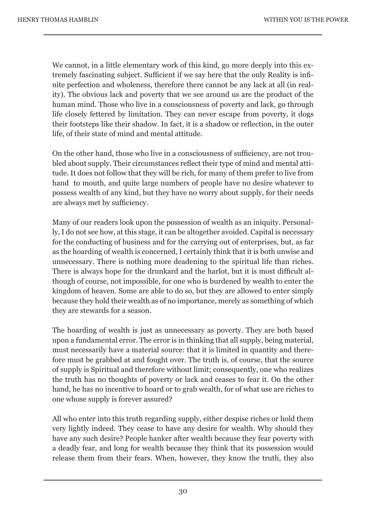We cannot, in a little elementary work of this kind, go more deeply into this extremely fascinating subject. Sufficient if we say here that the only Reality is infinite perfection and wholeness, therefore there cannot be any lack at all (in reality). The obvious lack and poverty that we see around us are the product of the human mind. Those who live in a consciousness of poverty and lack, go through life closely fettered by limitation. They can never escape from poverty, it dogs their footsteps like their shadow. In fact, it is a shadow or reflection, in the outer life, of their state of mind and mental attitude.

On the other hand, those who live in a consciousness of sufficiency, are not troubled about supply. Their circumstances reflect their type of mind and mental attitude. It does not follow that they will be rich, for many of them prefer to live from hand to mouth, and quite large numbers of people have no desire whatever to possess wealth of any kind, but they have no worry about supply, for their needs are always met by sufficiency.

Many of our readers look upon the possession of wealth as an iniquity. Personally, I do not see how, at this stage, it can be altogether avoided. Capital is necessary for the conducting of business and for the carrying out of enterprises, but, as far as the hoarding of wealth is concerned, I certainly think that it is both unwise and unnecessary. There is nothing more deadening to the spiritual life than riches. There is always hope for the drunkard and the harlot, but it is most difficult although of course, not impossible, for one who is burdened by wealth to enter the kingdom of heaven. Some are able to do so, but they are allowed to enter simply because they hold their wealth as of no importance, merely as something of which they are stewards for a season.

The hoarding of wealth is just as unnecessary as poverty. They are both based upon a fundamental error. The error is in thinking that all supply, being material, must necessarily have a material source: that it is limited in quantity and therefore must be grabbed at and fought over. The truth is, of course, that the source of supply is Spiritual and therefore without limit; consequently, one who realizes the truth has no thoughts of poverty or lack and ceases to fear it. On the other hand, he has no incentive to hoard or to grab wealth, for of what use are riches to one whose supply is forever assured?

All who enter into this truth regarding supply, either despise riches or hold them very lightly indeed. They cease to have any desire for wealth. Why should they have any such desire? People hanker after wealth because they fear poverty with a deadly fear, and long for wealth because they think that its possession would release them from their fears. When, however, they know the truth, they also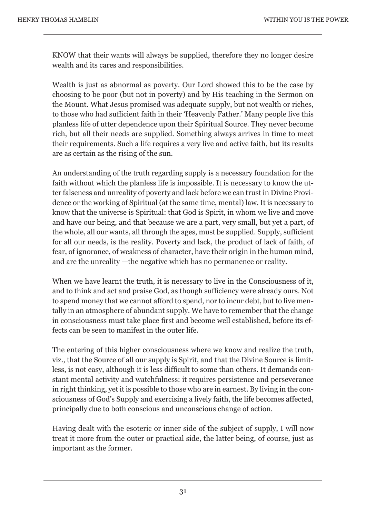KNOW that their wants will always be supplied, therefore they no longer desire wealth and its cares and responsibilities.

Wealth is just as abnormal as poverty. Our Lord showed this to be the case by choosing to be poor (but not in poverty) and by His teaching in the Sermon on the Mount. What Jesus promised was adequate supply, but not wealth or riches, to those who had sufficient faith in their 'Heavenly Father.' Many people live this planless life of utter dependence upon their Spiritual Source. They never become rich, but all their needs are supplied. Something always arrives in time to meet their requirements. Such a life requires a very live and active faith, but its results are as certain as the rising of the sun.

An understanding of the truth regarding supply is a necessary foundation for the faith without which the planless life is impossible. It is necessary to know the utter falseness and unreality of poverty and lack before we can trust in Divine Providence or the working of Spiritual (at the same time, mental) law. It is necessary to know that the universe is Spiritual: that God is Spirit, in whom we live and move and have our being, and that because we are a part, very small, but yet a part, of the whole, all our wants, all through the ages, must be supplied. Supply, sufficient for all our needs, is the reality. Poverty and lack, the product of lack of faith, of fear, of ignorance, of weakness of character, have their origin in the human mind, and are the unreality —the negative which has no permanence or reality.

When we have learnt the truth, it is necessary to live in the Consciousness of it, and to think and act and praise God, as though sufficiency were already ours. Not to spend money that we cannot afford to spend, nor to incur debt, but to live mentally in an atmosphere of abundant supply. We have to remember that the change in consciousness must take place first and become well established, before its effects can be seen to manifest in the outer life.

The entering of this higher consciousness where we know and realize the truth, viz., that the Source of all our supply is Spirit, and that the Divine Source is limitless, is not easy, although it is less difficult to some than others. It demands constant mental activity and watchfulness: it requires persistence and perseverance in right thinking, yet it is possible to those who are in earnest. By living in the consciousness of God's Supply and exercising a lively faith, the life becomes affected, principally due to both conscious and unconscious change of action.

Having dealt with the esoteric or inner side of the subject of supply, I will now treat it more from the outer or practical side, the latter being, of course, just as important as the former.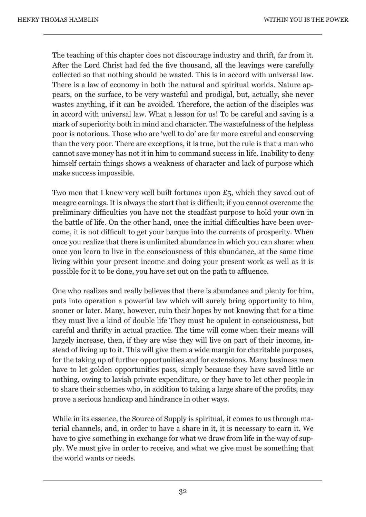The teaching of this chapter does not discourage industry and thrift, far from it. After the Lord Christ had fed the five thousand, all the leavings were carefully collected so that nothing should be wasted. This is in accord with universal law. There is a law of economy in both the natural and spiritual worlds. Nature appears, on the surface, to be very wasteful and prodigal, but, actually, she never wastes anything, if it can be avoided. Therefore, the action of the disciples was in accord with universal law. What a lesson for us! To be careful and saving is a mark of superiority both in mind and character. The wastefulness of the helpless poor is notorious. Those who are 'well to do' are far more careful and conserving than the very poor. There are exceptions, it is true, but the rule is that a man who cannot save money has not it in him to command success in life. Inability to deny himself certain things shows a weakness of character and lack of purpose which make success impossible.

Two men that I knew very well built fortunes upon £5, which they saved out of meagre earnings. It is always the start that is difficult; if you cannot overcome the preliminary difficulties you have not the steadfast purpose to hold your own in the battle of life. On the other hand, once the initial difficulties have been overcome, it is not difficult to get your barque into the currents of prosperity. When once you realize that there is unlimited abundance in which you can share: when once you learn to live in the consciousness of this abundance, at the same time living within your present income and doing your present work as well as it is possible for it to be done, you have set out on the path to affluence.

One who realizes and really believes that there is abundance and plenty for him, puts into operation a powerful law which will surely bring opportunity to him, sooner or later. Many, however, ruin their hopes by not knowing that for a time they must live a kind of double life They must be opulent in consciousness, but careful and thrifty in actual practice. The time will come when their means will largely increase, then, if they are wise they will live on part of their income, instead of living up to it. This will give them a wide margin for charitable purposes, for the taking up of further opportunities and for extensions. Many business men have to let golden opportunities pass, simply because they have saved little or nothing, owing to lavish private expenditure, or they have to let other people in to share their schemes who, in addition to taking a large share of the profits, may prove a serious handicap and hindrance in other ways.

While in its essence, the Source of Supply is spiritual, it comes to us through material channels, and, in order to have a share in it, it is necessary to earn it. We have to give something in exchange for what we draw from life in the way of supply. We must give in order to receive, and what we give must be something that the world wants or needs.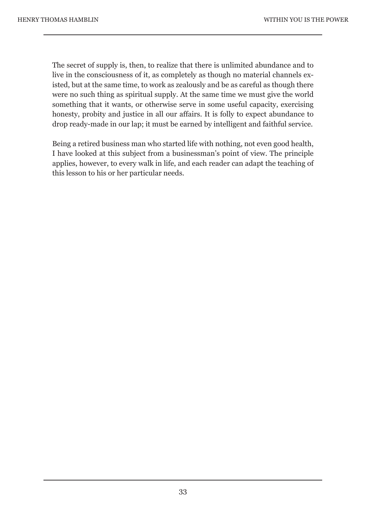The secret of supply is, then, to realize that there is unlimited abundance and to live in the consciousness of it, as completely as though no material channels existed, but at the same time, to work as zealously and be as careful as though there were no such thing as spiritual supply. At the same time we must give the world something that it wants, or otherwise serve in some useful capacity, exercising honesty, probity and justice in all our affairs. It is folly to expect abundance to drop ready-made in our lap; it must be earned by intelligent and faithful service.

Being a retired business man who started life with nothing, not even good health, I have looked at this subject from a businessman's point of view. The principle applies, however, to every walk in life, and each reader can adapt the teaching of this lesson to his or her particular needs.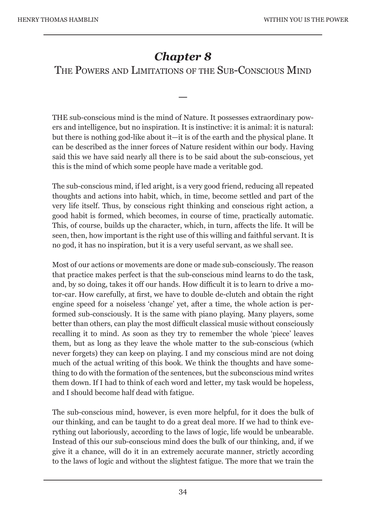# *Chapter 8*

### THE POWERS AND LIMITATIONS OF THE SUB-CONSCIOUS MIND

—

THE sub-conscious mind is the mind of Nature. It possesses extraordinary powers and intelligence, but no inspiration. It is instinctive: it is animal: it is natural: but there is nothing god-like about it—it is of the earth and the physical plane. It can be described as the inner forces of Nature resident within our body. Having said this we have said nearly all there is to be said about the sub-conscious, yet this is the mind of which some people have made a veritable god.

The sub-conscious mind, if led aright, is a very good friend, reducing all repeated thoughts and actions into habit, which, in time, become settled and part of the very life itself. Thus, by conscious right thinking and conscious right action, a good habit is formed, which becomes, in course of time, practically automatic. This, of course, builds up the character, which, in turn, affects the life. It will be seen, then, how important is the right use of this willing and faithful servant. It is no god, it has no inspiration, but it is a very useful servant, as we shall see.

Most of our actions or movements are done or made sub-consciously. The reason that practice makes perfect is that the sub-conscious mind learns to do the task, and, by so doing, takes it off our hands. How difficult it is to learn to drive a motor-car. How carefully, at first, we have to double de-clutch and obtain the right engine speed for a noiseless 'change' yet, after a time, the whole action is performed sub-consciously. It is the same with piano playing. Many players, some better than others, can play the most difficult classical music without consciously recalling it to mind. As soon as they try to remember the whole 'piece' leaves them, but as long as they leave the whole matter to the sub-conscious (which never forgets) they can keep on playing. I and my conscious mind are not doing much of the actual writing of this book. We think the thoughts and have something to do with the formation of the sentences, but the subconscious mind writes them down. If I had to think of each word and letter, my task would be hopeless, and I should become half dead with fatigue.

The sub-conscious mind, however, is even more helpful, for it does the bulk of our thinking, and can be taught to do a great deal more. If we had to think everything out laboriously, according to the laws of logic, life would be unbearable. Instead of this our sub-conscious mind does the bulk of our thinking, and, if we give it a chance, will do it in an extremely accurate manner, strictly according to the laws of logic and without the slightest fatigue. The more that we train the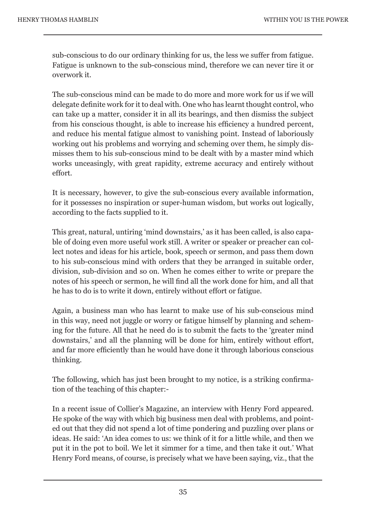sub-conscious to do our ordinary thinking for us, the less we suffer from fatigue. Fatigue is unknown to the sub-conscious mind, therefore we can never tire it or overwork it.

The sub-conscious mind can be made to do more and more work for us if we will delegate definite work for it to deal with. One who has learnt thought control, who can take up a matter, consider it in all its bearings, and then dismiss the subject from his conscious thought, is able to increase his efficiency a hundred percent, and reduce his mental fatigue almost to vanishing point. Instead of laboriously working out his problems and worrying and scheming over them, he simply dismisses them to his sub-conscious mind to be dealt with by a master mind which works unceasingly, with great rapidity, extreme accuracy and entirely without effort.

It is necessary, however, to give the sub-conscious every available information, for it possesses no inspiration or super-human wisdom, but works out logically, according to the facts supplied to it.

This great, natural, untiring 'mind downstairs,' as it has been called, is also capable of doing even more useful work still. A writer or speaker or preacher can collect notes and ideas for his article, book, speech or sermon, and pass them down to his sub-conscious mind with orders that they be arranged in suitable order, division, sub-division and so on. When he comes either to write or prepare the notes of his speech or sermon, he will find all the work done for him, and all that he has to do is to write it down, entirely without effort or fatigue.

Again, a business man who has learnt to make use of his sub-conscious mind in this way, need not juggle or worry or fatigue himself by planning and scheming for the future. All that he need do is to submit the facts to the 'greater mind downstairs,' and all the planning will be done for him, entirely without effort, and far more efficiently than he would have done it through laborious conscious thinking.

The following, which has just been brought to my notice, is a striking confirmation of the teaching of this chapter:-

In a recent issue of Collier's Magazine, an interview with Henry Ford appeared. He spoke of the way with which big business men deal with problems, and pointed out that they did not spend a lot of time pondering and puzzling over plans or ideas. He said: 'An idea comes to us: we think of it for a little while, and then we put it in the pot to boil. We let it simmer for a time, and then take it out.' What Henry Ford means, of course, is precisely what we have been saying, viz., that the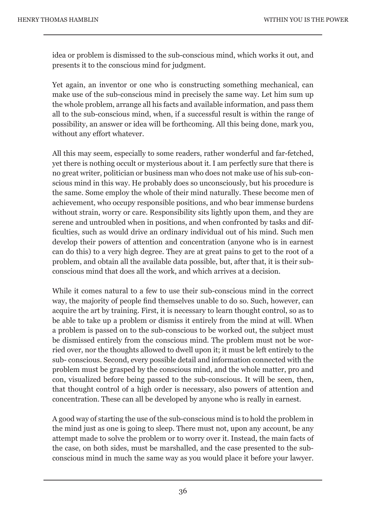idea or problem is dismissed to the sub-conscious mind, which works it out, and presents it to the conscious mind for judgment.

Yet again, an inventor or one who is constructing something mechanical, can make use of the sub-conscious mind in precisely the same way. Let him sum up the whole problem, arrange all his facts and available information, and pass them all to the sub-conscious mind, when, if a successful result is within the range of possibility, an answer or idea will be forthcoming. All this being done, mark you, without any effort whatever.

All this may seem, especially to some readers, rather wonderful and far-fetched, yet there is nothing occult or mysterious about it. I am perfectly sure that there is no great writer, politician or business man who does not make use of his sub-conscious mind in this way. He probably does so unconsciously, but his procedure is the same. Some employ the whole of their mind naturally. These become men of achievement, who occupy responsible positions, and who bear immense burdens without strain, worry or care. Responsibility sits lightly upon them, and they are serene and untroubled when in positions, and when confronted by tasks and difficulties, such as would drive an ordinary individual out of his mind. Such men develop their powers of attention and concentration (anyone who is in earnest can do this) to a very high degree. They are at great pains to get to the root of a problem, and obtain all the available data possible, but, after that, it is their subconscious mind that does all the work, and which arrives at a decision.

While it comes natural to a few to use their sub-conscious mind in the correct way, the majority of people find themselves unable to do so. Such, however, can acquire the art by training. First, it is necessary to learn thought control, so as to be able to take up a problem or dismiss it entirely from the mind at will. When a problem is passed on to the sub-conscious to be worked out, the subject must be dismissed entirely from the conscious mind. The problem must not be worried over, nor the thoughts allowed to dwell upon it; it must be left entirely to the sub- conscious. Second, every possible detail and information connected with the problem must be grasped by the conscious mind, and the whole matter, pro and con, visualized before being passed to the sub-conscious. It will be seen, then, that thought control of a high order is necessary, also powers of attention and concentration. These can all be developed by anyone who is really in earnest.

A good way of starting the use of the sub-conscious mind is to hold the problem in the mind just as one is going to sleep. There must not, upon any account, be any attempt made to solve the problem or to worry over it. Instead, the main facts of the case, on both sides, must be marshalled, and the case presented to the subconscious mind in much the same way as you would place it before your lawyer.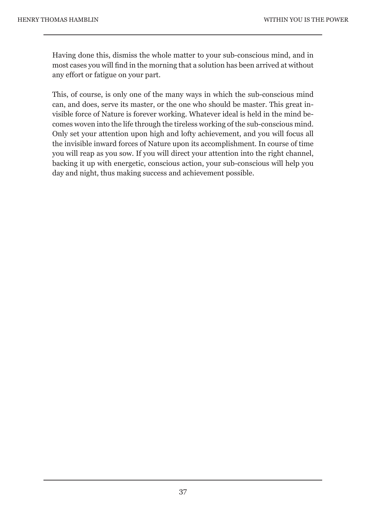Having done this, dismiss the whole matter to your sub-conscious mind, and in most cases you will find in the morning that a solution has been arrived at without any effort or fatigue on your part.

This, of course, is only one of the many ways in which the sub-conscious mind can, and does, serve its master, or the one who should be master. This great invisible force of Nature is forever working. Whatever ideal is held in the mind becomes woven into the life through the tireless working of the sub-conscious mind. Only set your attention upon high and lofty achievement, and you will focus all the invisible inward forces of Nature upon its accomplishment. In course of time you will reap as you sow. If you will direct your attention into the right channel, backing it up with energetic, conscious action, your sub-conscious will help you day and night, thus making success and achievement possible.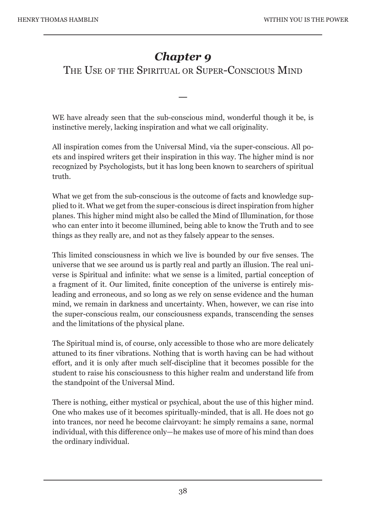# *Chapter 9*

THE USE OF THE SPIRITUAL OR SUPER-CONSCIOUS MIND

WE have already seen that the sub-conscious mind, wonderful though it be, is instinctive merely, lacking inspiration and what we call originality.

—

All inspiration comes from the Universal Mind, via the super-conscious. All poets and inspired writers get their inspiration in this way. The higher mind is nor recognized by Psychologists, but it has long been known to searchers of spiritual truth.

What we get from the sub-conscious is the outcome of facts and knowledge supplied to it. What we get from the super-conscious is direct inspiration from higher planes. This higher mind might also be called the Mind of Illumination, for those who can enter into it become illumined, being able to know the Truth and to see things as they really are, and not as they falsely appear to the senses.

This limited consciousness in which we live is bounded by our five senses. The universe that we see around us is partly real and partly an illusion. The real universe is Spiritual and infinite: what we sense is a limited, partial conception of a fragment of it. Our limited, finite conception of the universe is entirely misleading and erroneous, and so long as we rely on sense evidence and the human mind, we remain in darkness and uncertainty. When, however, we can rise into the super-conscious realm, our consciousness expands, transcending the senses and the limitations of the physical plane.

The Spiritual mind is, of course, only accessible to those who are more delicately attuned to its finer vibrations. Nothing that is worth having can be had without effort, and it is only after much self-discipline that it becomes possible for the student to raise his consciousness to this higher realm and understand life from the standpoint of the Universal Mind.

There is nothing, either mystical or psychical, about the use of this higher mind. One who makes use of it becomes spiritually-minded, that is all. He does not go into trances, nor need he become clairvoyant: he simply remains a sane, normal individual, with this difference only—he makes use of more of his mind than does the ordinary individual.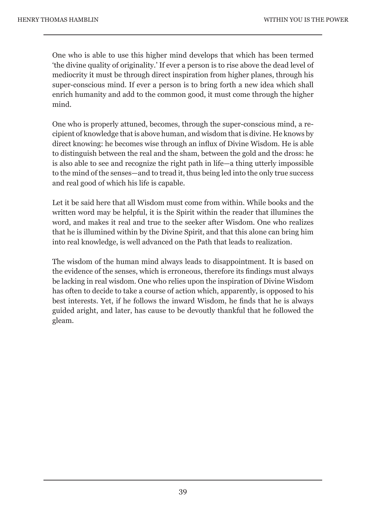One who is able to use this higher mind develops that which has been termed 'the divine quality of originality.' If ever a person is to rise above the dead level of mediocrity it must be through direct inspiration from higher planes, through his super-conscious mind. If ever a person is to bring forth a new idea which shall enrich humanity and add to the common good, it must come through the higher mind.

One who is properly attuned, becomes, through the super-conscious mind, a recipient of knowledge that is above human, and wisdom that is divine. He knows by direct knowing: he becomes wise through an influx of Divine Wisdom. He is able to distinguish between the real and the sham, between the gold and the dross: he is also able to see and recognize the right path in life—a thing utterly impossible to the mind of the senses—and to tread it, thus being led into the only true success and real good of which his life is capable.

Let it be said here that all Wisdom must come from within. While books and the written word may be helpful, it is the Spirit within the reader that illumines the word, and makes it real and true to the seeker after Wisdom. One who realizes that he is illumined within by the Divine Spirit, and that this alone can bring him into real knowledge, is well advanced on the Path that leads to realization.

The wisdom of the human mind always leads to disappointment. It is based on the evidence of the senses, which is erroneous, therefore its findings must always be lacking in real wisdom. One who relies upon the inspiration of Divine Wisdom has often to decide to take a course of action which, apparently, is opposed to his best interests. Yet, if he follows the inward Wisdom, he finds that he is always guided aright, and later, has cause to be devoutly thankful that he followed the gleam.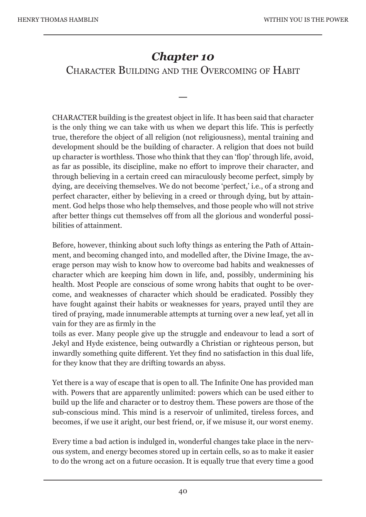### *Chapter 10*

### CHARACTER BUILDING AND THE OVERCOMING OF HABIT

—

CHARACTER building is the greatest object in life. It has been said that character is the only thing we can take with us when we depart this life. This is perfectly true, therefore the object of all religion (not religiousness), mental training and development should be the building of character. A religion that does not build up character is worthless. Those who think that they can 'flop' through life, avoid, as far as possible, its discipline, make no effort to improve their character, and through believing in a certain creed can miraculously become perfect, simply by dying, are deceiving themselves. We do not become 'perfect,' i.e., of a strong and perfect character, either by believing in a creed or through dying, but by attainment. God helps those who help themselves, and those people who will not strive after better things cut themselves off from all the glorious and wonderful possibilities of attainment.

Before, however, thinking about such lofty things as entering the Path of Attainment, and becoming changed into, and modelled after, the Divine Image, the average person may wish to know how to overcome bad habits and weaknesses of character which are keeping him down in life, and, possibly, undermining his health. Most People are conscious of some wrong habits that ought to be overcome, and weaknesses of character which should be eradicated. Possibly they have fought against their habits or weaknesses for years, prayed until they are tired of praying, made innumerable attempts at turning over a new leaf, yet all in vain for they are as firmly in the

toils as ever. Many people give up the struggle and endeavour to lead a sort of Jekyl and Hyde existence, being outwardly a Christian or righteous person, but inwardly something quite different. Yet they find no satisfaction in this dual life, for they know that they are drifting towards an abyss.

Yet there is a way of escape that is open to all. The Infinite One has provided man with. Powers that are apparently unlimited: powers which can be used either to build up the life and character or to destroy them. These powers are those of the sub-conscious mind. This mind is a reservoir of unlimited, tireless forces, and becomes, if we use it aright, our best friend, or, if we misuse it, our worst enemy.

Every time a bad action is indulged in, wonderful changes take place in the nervous system, and energy becomes stored up in certain cells, so as to make it easier to do the wrong act on a future occasion. It is equally true that every time a good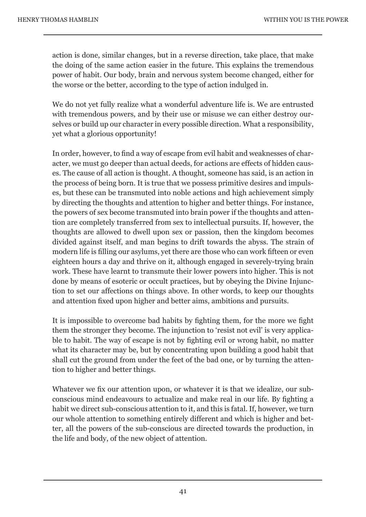action is done, similar changes, but in a reverse direction, take place, that make the doing of the same action easier in the future. This explains the tremendous power of habit. Our body, brain and nervous system become changed, either for the worse or the better, according to the type of action indulged in.

We do not yet fully realize what a wonderful adventure life is. We are entrusted with tremendous powers, and by their use or misuse we can either destroy ourselves or build up our character in every possible direction. What a responsibility, yet what a glorious opportunity!

In order, however, to find a way of escape from evil habit and weaknesses of character, we must go deeper than actual deeds, for actions are effects of hidden causes. The cause of all action is thought. A thought, someone has said, is an action in the process of being born. It is true that we possess primitive desires and impulses, but these can be transmuted into noble actions and high achievement simply by directing the thoughts and attention to higher and better things. For instance, the powers of sex become transmuted into brain power if the thoughts and attention are completely transferred from sex to intellectual pursuits. If, however, the thoughts are allowed to dwell upon sex or passion, then the kingdom becomes divided against itself, and man begins to drift towards the abyss. The strain of modern life is filling our asylums, yet there are those who can work fifteen or even eighteen hours a day and thrive on it, although engaged in severely-trying brain work. These have learnt to transmute their lower powers into higher. This is not done by means of esoteric or occult practices, but by obeying the Divine Injunction to set our affections on things above. In other words, to keep our thoughts and attention fixed upon higher and better aims, ambitions and pursuits.

It is impossible to overcome bad habits by fighting them, for the more we fight them the stronger they become. The injunction to 'resist not evil' is very applicable to habit. The way of escape is not by fighting evil or wrong habit, no matter what its character may be, but by concentrating upon building a good habit that shall cut the ground from under the feet of the bad one, or by turning the attention to higher and better things.

Whatever we fix our attention upon, or whatever it is that we idealize, our subconscious mind endeavours to actualize and make real in our life. By fighting a habit we direct sub-conscious attention to it, and this is fatal. If, however, we turn our whole attention to something entirely different and which is higher and better, all the powers of the sub-conscious are directed towards the production, in the life and body, of the new object of attention.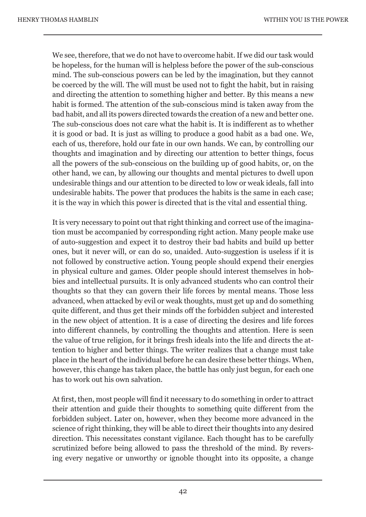We see, therefore, that we do not have to overcome habit. If we did our task would be hopeless, for the human will is helpless before the power of the sub-conscious mind. The sub-conscious powers can be led by the imagination, but they cannot be coerced by the will. The will must be used not to fight the habit, but in raising and directing the attention to something higher and better. By this means a new habit is formed. The attention of the sub-conscious mind is taken away from the bad habit, and all its powers directed towards the creation of a new and better one. The sub-conscious does not care what the habit is. It is indifferent as to whether it is good or bad. It is just as willing to produce a good habit as a bad one. We, each of us, therefore, hold our fate in our own hands. We can, by controlling our thoughts and imagination and by directing our attention to better things, focus all the powers of the sub-conscious on the building up of good habits, or, on the other hand, we can, by allowing our thoughts and mental pictures to dwell upon undesirable things and our attention to be directed to low or weak ideals, fall into undesirable habits. The power that produces the habits is the same in each case; it is the way in which this power is directed that is the vital and essential thing.

It is very necessary to point out that right thinking and correct use of the imagination must be accompanied by corresponding right action. Many people make use of auto-suggestion and expect it to destroy their bad habits and build up better ones, but it never will, or can do so, unaided. Auto-suggestion is useless if it is not followed by constructive action. Young people should expend their energies in physical culture and games. Older people should interest themselves in hobbies and intellectual pursuits. It is only advanced students who can control their thoughts so that they can govern their life forces by mental means. Those less advanced, when attacked by evil or weak thoughts, must get up and do something quite different, and thus get their minds off the forbidden subject and interested in the new object of attention. It is a case of directing the desires and life forces into different channels, by controlling the thoughts and attention. Here is seen the value of true religion, for it brings fresh ideals into the life and directs the attention to higher and better things. The writer realizes that a change must take place in the heart of the individual before he can desire these better things. When, however, this change has taken place, the battle has only just begun, for each one has to work out his own salvation.

At first, then, most people will find it necessary to do something in order to attract their attention and guide their thoughts to something quite different from the forbidden subject. Later on, however, when they become more advanced in the science of right thinking, they will be able to direct their thoughts into any desired direction. This necessitates constant vigilance. Each thought has to be carefully scrutinized before being allowed to pass the threshold of the mind. By reversing every negative or unworthy or ignoble thought into its opposite, a change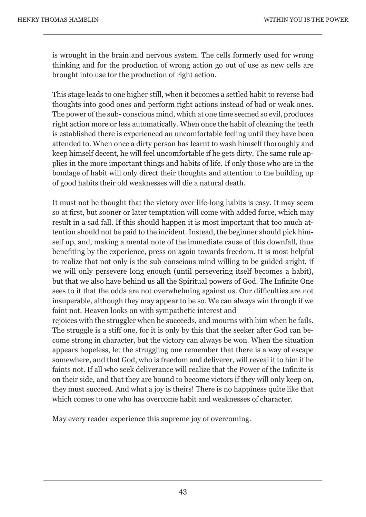is wrought in the brain and nervous system. The cells formerly used for wrong thinking and for the production of wrong action go out of use as new cells are brought into use for the production of right action.

This stage leads to one higher still, when it becomes a settled habit to reverse bad thoughts into good ones and perform right actions instead of bad or weak ones. The power of the sub- conscious mind, which at one time seemed so evil, produces right action more or less automatically. When once the habit of cleaning the teeth is established there is experienced an uncomfortable feeling until they have been attended to. When once a dirty person has learnt to wash himself thoroughly and keep himself decent, he will feel uncomfortable if he gets dirty. The same rule applies in the more important things and habits of life. If only those who are in the bondage of habit will only direct their thoughts and attention to the building up of good habits their old weaknesses will die a natural death.

It must not be thought that the victory over life-long habits is easy. It may seem so at first, but sooner or later temptation will come with added force, which may result in a sad fall. If this should happen it is most important that too much attention should not be paid to the incident. Instead, the beginner should pick himself up, and, making a mental note of the immediate cause of this downfall, thus benefiting by the experience, press on again towards freedom. It is most helpful to realize that not only is the sub-conscious mind willing to be guided aright, if we will only persevere long enough (until persevering itself becomes a habit), but that we also have behind us all the Spiritual powers of God. The Infinite One sees to it that the odds are not overwhelming against us. Our difficulties are not insuperable, although they may appear to be so. We can always win through if we faint not. Heaven looks on with sympathetic interest and

rejoices with the struggler when he succeeds, and mourns with him when he fails. The struggle is a stiff one, for it is only by this that the seeker after God can become strong in character, but the victory can always be won. When the situation appears hopeless, let the struggling one remember that there is a way of escape somewhere, and that God, who is freedom and deliverer, will reveal it to him if he faints not. If all who seek deliverance will realize that the Power of the Infinite is on their side, and that they are bound to become victors if they will only keep on, they must succeed. And what a joy is theirs! There is no happiness quite like that which comes to one who has overcome habit and weaknesses of character.

May every reader experience this supreme joy of overcoming.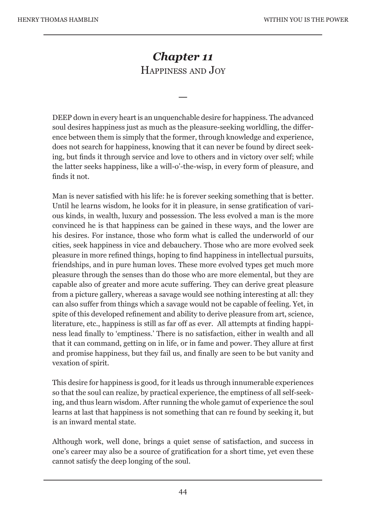## *Chapter 11*  HAPPINESS AND JOY

—

DEEP down in every heart is an unquenchable desire for happiness. The advanced soul desires happiness just as much as the pleasure-seeking worldling, the difference between them is simply that the former, through knowledge and experience, does not search for happiness, knowing that it can never be found by direct seeking, but finds it through service and love to others and in victory over self; while the latter seeks happiness, like a will-o'-the-wisp, in every form of pleasure, and finds it not.

Man is never satisfied with his life: he is forever seeking something that is better. Until he learns wisdom, he looks for it in pleasure, in sense gratification of various kinds, in wealth, luxury and possession. The less evolved a man is the more convinced he is that happiness can be gained in these ways, and the lower are his desires. For instance, those who form what is called the underworld of our cities, seek happiness in vice and debauchery. Those who are more evolved seek pleasure in more refined things, hoping to find happiness in intellectual pursuits, friendships, and in pure human loves. These more evolved types get much more pleasure through the senses than do those who are more elemental, but they are capable also of greater and more acute suffering. They can derive great pleasure from a picture gallery, whereas a savage would see nothing interesting at all: they can also suffer from things which a savage would not be capable of feeling. Yet, in spite of this developed refinement and ability to derive pleasure from art, science, literature, etc., happiness is still as far off as ever. All attempts at finding happiness lead finally to 'emptiness.' There is no satisfaction, either in wealth and all that it can command, getting on in life, or in fame and power. They allure at first and promise happiness, but they fail us, and finally are seen to be but vanity and vexation of spirit.

This desire for happiness is good, for it leads us through innumerable experiences so that the soul can realize, by practical experience, the emptiness of all self-seeking, and thus learn wisdom. After running the whole gamut of experience the soul learns at last that happiness is not something that can re found by seeking it, but is an inward mental state.

Although work, well done, brings a quiet sense of satisfaction, and success in one's career may also be a source of gratification for a short time, yet even these cannot satisfy the deep longing of the soul.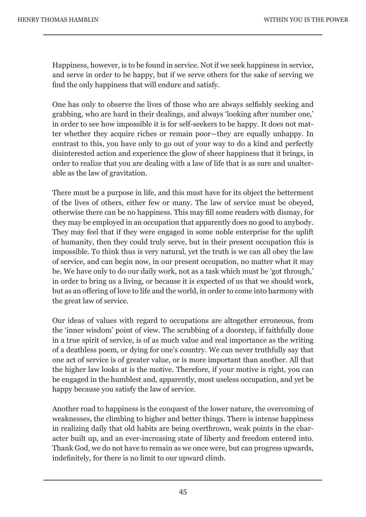Happiness, however, is to be found in service. Not if we seek happiness in service, and serve in order to be happy, but if we serve others for the sake of serving we find the only happiness that will endure and satisfy.

One has only to observe the lives of those who are always selfishly seeking and grabbing, who are hard in their dealings, and always 'looking after number one,' in order to see how impossible it is for self-seekers to be happy. It does not matter whether they acquire riches or remain poor—they are equally unhappy. In contrast to this, you have only to go out of your way to do a kind and perfectly disinterested action and experience the glow of sheer happiness that it brings, in order to realize that you are dealing with a law of life that is as sure and unalterable as the law of gravitation.

There must be a purpose in life, and this must have for its object the betterment of the lives of others, either few or many. The law of service must be obeyed, otherwise there can be no happiness. This may fill some readers with dismay, for they may be employed in an occupation that apparently does no good to anybody. They may feel that if they were engaged in some noble enterprise for the uplift of humanity, then they could truly serve, but in their present occupation this is impossible. To think thus is very natural, yet the truth is we can all obey the law of service, and can begin now, in our present occupation, no matter what it may be. We have only to do our daily work, not as a task which must be 'got through,' in order to bring us a living, or because it is expected of us that we should work, but as an offering of love to life and the world, in order to come into harmony with the great law of service.

Our ideas of values with regard to occupations are altogether erroneous, from the 'inner wisdom' point of view. The scrubbing of a doorstep, if faithfully done in a true spirit of service, is of as much value and real importance as the writing of a deathless poem, or dying for one's country. We can never truthfully say that one act of service is of greater value, or is more important than another. All that the higher law looks at is the motive. Therefore, if your motive is right, you can be engaged in the humblest and, apparently, most useless occupation, and yet be happy because you satisfy the law of service.

Another road to happiness is the conquest of the lower nature, the overcoming of weaknesses, the climbing to higher and better things. There is intense happiness in realizing daily that old habits are being overthrown, weak points in the character built up, and an ever-increasing state of liberty and freedom entered into. Thank God, we do not have to remain as we once were, but can progress upwards, indefinitely, for there is no limit to our upward climb.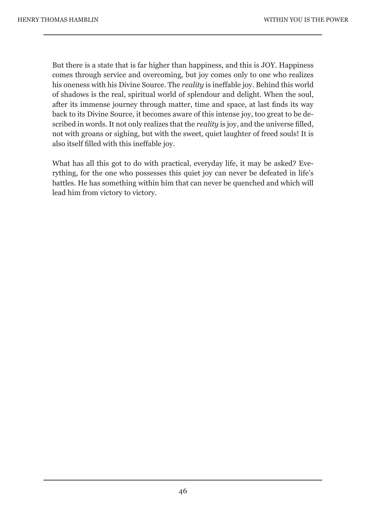But there is a state that is far higher than happiness, and this is JOY. Happiness comes through service and overcoming, but joy comes only to one who realizes his oneness with his Divine Source. The *reality* is ineffable joy. Behind this world of shadows is the real, spiritual world of splendour and delight. When the soul, after its immense journey through matter, time and space, at last finds its way back to its Divine Source, it becomes aware of this intense joy, too great to be described in words. It not only realizes that the *reality* is joy, and the universe filled, not with groans or sighing, but with the sweet, quiet laughter of freed souls! It is also itself filled with this ineffable joy.

What has all this got to do with practical, everyday life, it may be asked? Everything, for the one who possesses this quiet joy can never be defeated in life's battles. He has something within him that can never be quenched and which will lead him from victory to victory.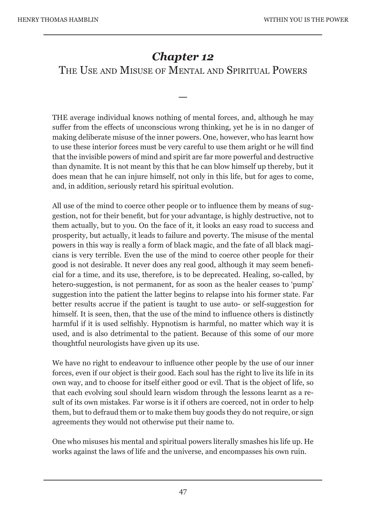# *Chapter 12*

THE USE AND MISUSE OF MENTAL AND SPIRITUAL POWERS

—

THE average individual knows nothing of mental forces, and, although he may suffer from the effects of unconscious wrong thinking, yet he is in no danger of making deliberate misuse of the inner powers. One, however, who has learnt how to use these interior forces must be very careful to use them aright or he will find that the invisible powers of mind and spirit are far more powerful and destructive than dynamite. It is not meant by this that he can blow himself up thereby, but it does mean that he can injure himself, not only in this life, but for ages to come, and, in addition, seriously retard his spiritual evolution.

All use of the mind to coerce other people or to influence them by means of suggestion, not for their benefit, but for your advantage, is highly destructive, not to them actually, but to you. On the face of it, it looks an easy road to success and prosperity, but actually, it leads to failure and poverty. The misuse of the mental powers in this way is really a form of black magic, and the fate of all black magicians is very terrible. Even the use of the mind to coerce other people for their good is not desirable. It never does any real good, although it may seem beneficial for a time, and its use, therefore, is to be deprecated. Healing, so-called, by hetero-suggestion, is not permanent, for as soon as the healer ceases to 'pump' suggestion into the patient the latter begins to relapse into his former state. Far better results accrue if the patient is taught to use auto- or self-suggestion for himself. It is seen, then, that the use of the mind to influence others is distinctly harmful if it is used selfishly. Hypnotism is harmful, no matter which way it is used, and is also detrimental to the patient. Because of this some of our more thoughtful neurologists have given up its use.

We have no right to endeavour to influence other people by the use of our inner forces, even if our object is their good. Each soul has the right to live its life in its own way, and to choose for itself either good or evil. That is the object of life, so that each evolving soul should learn wisdom through the lessons learnt as a result of its own mistakes. Far worse is it if others are coerced, not in order to help them, but to defraud them or to make them buy goods they do not require, or sign agreements they would not otherwise put their name to.

One who misuses his mental and spiritual powers literally smashes his life up. He works against the laws of life and the universe, and encompasses his own ruin.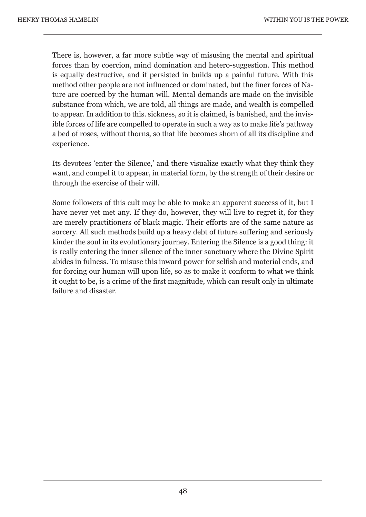There is, however, a far more subtle way of misusing the mental and spiritual forces than by coercion, mind domination and hetero-suggestion. This method is equally destructive, and if persisted in builds up a painful future. With this method other people are not influenced or dominated, but the finer forces of Nature are coerced by the human will. Mental demands are made on the invisible substance from which, we are told, all things are made, and wealth is compelled to appear. In addition to this. sickness, so it is claimed, is banished, and the invisible forces of life are compelled to operate in such a way as to make life's pathway a bed of roses, without thorns, so that life becomes shorn of all its discipline and experience.

Its devotees 'enter the Silence,' and there visualize exactly what they think they want, and compel it to appear, in material form, by the strength of their desire or through the exercise of their will.

Some followers of this cult may be able to make an apparent success of it, but I have never yet met any. If they do, however, they will live to regret it, for they are merely practitioners of black magic. Their efforts are of the same nature as sorcery. All such methods build up a heavy debt of future suffering and seriously kinder the soul in its evolutionary journey. Entering the Silence is a good thing: it is really entering the inner silence of the inner sanctuary where the Divine Spirit abides in fulness. To misuse this inward power for selfish and material ends, and for forcing our human will upon life, so as to make it conform to what we think it ought to be, is a crime of the first magnitude, which can result only in ultimate failure and disaster.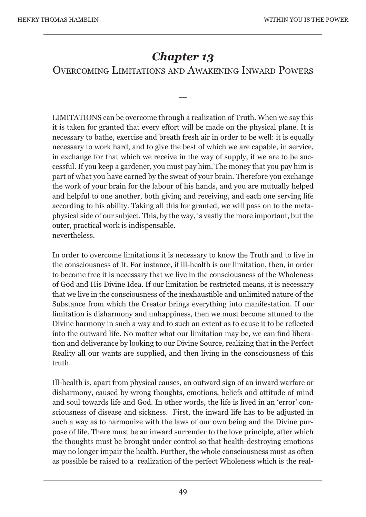# *Chapter 13*

#### OVERCOMING LIMITATIONS AND AWAKENING INWARD POWERS

—

LIMITATIONS can be overcome through a realization of Truth. When we say this it is taken for granted that every effort will be made on the physical plane. It is necessary to bathe, exercise and breath fresh air in order to be well: it is equally necessary to work hard, and to give the best of which we are capable, in service, in exchange for that which we receive in the way of supply, if we are to be successful. If you keep a gardener, you must pay him. The money that you pay him is part of what you have earned by the sweat of your brain. Therefore you exchange the work of your brain for the labour of his hands, and you are mutually helped and helpful to one another, both giving and receiving, and each one serving life according to his ability. Taking all this for granted, we will pass on to the metaphysical side of our subject. This, by the way, is vastly the more important, but the outer, practical work is indispensable. nevertheless.

In order to overcome limitations it is necessary to know the Truth and to live in the consciousness of It. For instance, if ill-health is our limitation, then, in order to become free it is necessary that we live in the consciousness of the Wholeness of God and His Divine Idea. If our limitation be restricted means, it is necessary that we live in the consciousness of the inexhaustible and unlimited nature of the Substance from which the Creator brings everything into manifestation. If our limitation is disharmony and unhappiness, then we must become attuned to the Divine harmony in such a way and to such an extent as to cause it to be reflected into the outward life. No matter what our limitation may be, we can find liberation and deliverance by looking to our Divine Source, realizing that in the Perfect Reality all our wants are supplied, and then living in the consciousness of this truth.

Ill-health is, apart from physical causes, an outward sign of an inward warfare or disharmony, caused by wrong thoughts, emotions, beliefs and attitude of mind and soul towards life and God. In other words, the life is lived in an 'error' consciousness of disease and sickness. First, the inward life has to be adjusted in such a way as to harmonize with the laws of our own being and the Divine purpose of life. There must be an inward surrender to the love principle, after which the thoughts must be brought under control so that health-destroying emotions may no longer impair the health. Further, the whole consciousness must as often as possible be raised to a realization of the perfect Wholeness which is the real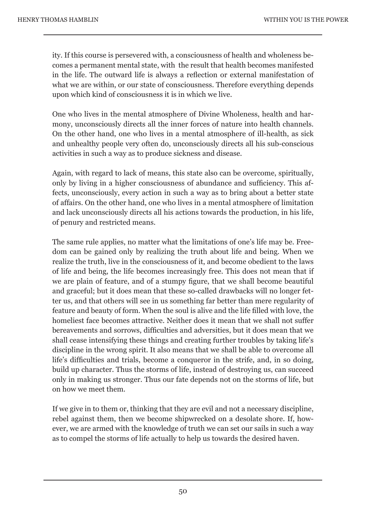ity. If this course is persevered with, a consciousness of health and wholeness becomes a permanent mental state, with the result that health becomes manifested in the life. The outward life is always a reflection or external manifestation of what we are within, or our state of consciousness. Therefore everything depends upon which kind of consciousness it is in which we live.

One who lives in the mental atmosphere of Divine Wholeness, health and harmony, unconsciously directs all the inner forces of nature into health channels. On the other hand, one who lives in a mental atmosphere of ill-health, as sick and unhealthy people very often do, unconsciously directs all his sub-conscious activities in such a way as to produce sickness and disease.

Again, with regard to lack of means, this state also can be overcome, spiritually, only by living in a higher consciousness of abundance and sufficiency. This affects, unconsciously, every action in such a way as to bring about a better state of affairs. On the other hand, one who lives in a mental atmosphere of limitation and lack unconsciously directs all his actions towards the production, in his life, of penury and restricted means.

The same rule applies, no matter what the limitations of one's life may be. Freedom can be gained only by realizing the truth about life and being. When we realize the truth, live in the consciousness of it, and become obedient to the laws of life and being, the life becomes increasingly free. This does not mean that if we are plain of feature, and of a stumpy figure, that we shall become beautiful and graceful; but it does mean that these so-called drawbacks will no longer fetter us, and that others will see in us something far better than mere regularity of feature and beauty of form. When the soul is alive and the life filled with love, the homeliest face becomes attractive. Neither does it mean that we shall not suffer bereavements and sorrows, difficulties and adversities, but it does mean that we shall cease intensifying these things and creating further troubles by taking life's discipline in the wrong spirit. It also means that we shall be able to overcome all life's difficulties and trials, become a conqueror in the strife, and, in so doing, build up character. Thus the storms of life, instead of destroying us, can succeed only in making us stronger. Thus our fate depends not on the storms of life, but on how we meet them.

If we give in to them or, thinking that they are evil and not a necessary discipline, rebel against them, then we become shipwrecked on a desolate shore. If, however, we are armed with the knowledge of truth we can set our sails in such a way as to compel the storms of life actually to help us towards the desired haven.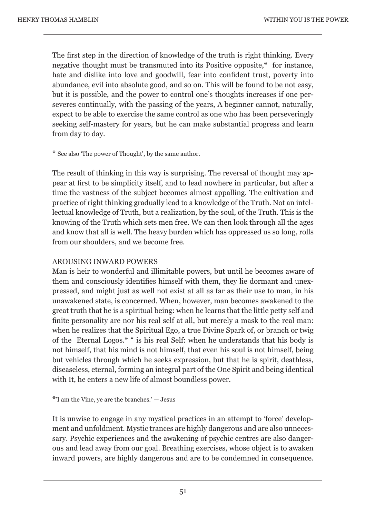The first step in the direction of knowledge of the truth is right thinking. Every negative thought must be transmuted into its Positive opposite,\* for instance, hate and dislike into love and goodwill, fear into confident trust, poverty into abundance, evil into absolute good, and so on. This will be found to be not easy, but it is possible, and the power to control one's thoughts increases if one perseveres continually, with the passing of the years, A beginner cannot, naturally, expect to be able to exercise the same control as one who has been perseveringly seeking self-mastery for years, but he can make substantial progress and learn from day to day.

\* See also 'The power of Thought', by the same author.

The result of thinking in this way is surprising. The reversal of thought may appear at first to be simplicity itself, and to lead nowhere in particular, but after a time the vastness of the subject becomes almost appalling. The cultivation and practice of right thinking gradually lead to a knowledge of the Truth. Not an intellectual knowledge of Truth, but a realization, by the soul, of the Truth. This is the knowing of the Truth which sets men free. We can then look through all the ages and know that all is well. The heavy burden which has oppressed us so long, rolls from our shoulders, and we become free.

#### AROUSING INWARD POWERS

Man is heir to wonderful and illimitable powers, but until he becomes aware of them and consciously identifies himself with them, they lie dormant and unexpressed, and might just as well not exist at all as far as their use to man, in his unawakened state, is concerned. When, however, man becomes awakened to the great truth that he is a spiritual being: when he learns that the little petty self and finite personality are nor his real self at all, but merely a mask to the real man: when he realizes that the Spiritual Ego, a true Divine Spark of, or branch or twig of the Eternal Logos.\* " is his real Self: when he understands that his body is not himself, that his mind is not himself, that even his soul is not himself, being but vehicles through which he seeks expression, but that he is spirit, deathless, diseaseless, eternal, forming an integral part of the One Spirit and being identical with It, he enters a new life of almost boundless power.

\*'I am the Vine, ye are the branches.' — Jesus

It is unwise to engage in any mystical practices in an attempt to 'force' development and unfoldment. Mystic trances are highly dangerous and are also unnecessary. Psychic experiences and the awakening of psychic centres are also dangerous and lead away from our goal. Breathing exercises, whose object is to awaken inward powers, are highly dangerous and are to be condemned in consequence.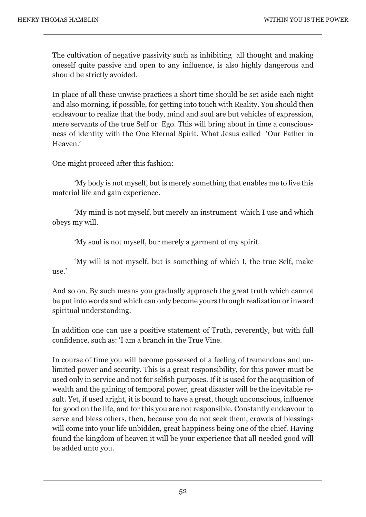The cultivation of negative passivity such as inhibiting all thought and making oneself quite passive and open to any influence, is also highly dangerous and should be strictly avoided.

In place of all these unwise practices a short time should be set aside each night and also morning, if possible, for getting into touch with Reality. You should then endeavour to realize that the body, mind and soul are but vehicles of expression, mere servants of the true Self or Ego. This will bring about in time a consciousness of identity with the One Eternal Spirit. What Jesus called 'Our Father in Heaven.'

One might proceed after this fashion:

 'My body is not myself, but is merely something that enables me to live this material life and gain experience.

 'My mind is not myself, but merely an instrument which I use and which obeys my will.

'My soul is not myself, bur merely a garment of my spirit.

 'My will is not myself, but is something of which I, the true Self, make use.'

And so on. By such means you gradually approach the great truth which cannot be put into words and which can only become yours through realization or inward spiritual understanding.

In addition one can use a positive statement of Truth, reverently, but with full confidence, such as: 'I am a branch in the True Vine.

In course of time you will become possessed of a feeling of tremendous and unlimited power and security. This is a great responsibility, for this power must be used only in service and not for selfish purposes. If it is used for the acquisition of wealth and the gaining of temporal power, great disaster will be the inevitable result. Yet, if used aright, it is bound to have a great, though unconscious, influence for good on the life, and for this you are not responsible. Constantly endeavour to serve and bless others, then, because you do not seek them, crowds of blessings will come into your life unbidden, great happiness being one of the chief. Having found the kingdom of heaven it will be your experience that all needed good will be added unto you.